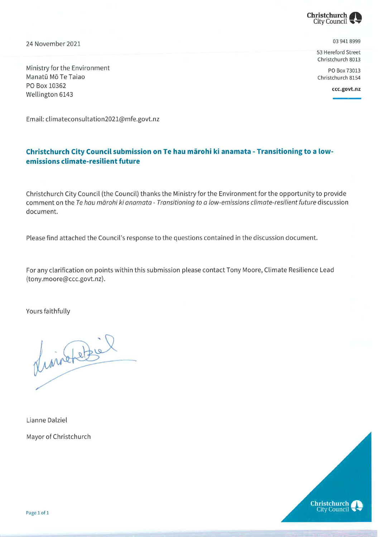

24 November 2021 9399 941 8999

53 Hereford Street Christchurch 8013

Ministry for the Environment **PO Box 73013** Manatū Mō Te Taiao Christchurch 8154 PO Box 10362 Example 2021<br>
Ministry for the Environment<br>
Manatū Mō Te Taiao<br>
PO Box 10362<br>
Wellington 6143<br>
Christchurch 8154<br>
Construction 6143

Email: climateconsultation2021@mfe.govt.nz

## Christchurch City Council submission on Te hau marohi ki anamata- Transitioning to <sup>a</sup> lowemissions climate-resilient future

Christchurch City Council (the Council) thanks the Ministry for the Environment for the opportunity to provide comment on the Te hau mārohi ki anamata - Transitioning to a low-emissions climate-resilient future discussion document.

Please find attached the Council's response to the questions contained in the discussion document.

For any clarification on points within this submission please contact Tony Moore, Climate Resilience Lead (tony.moore@ccc.govt.nz).

Yours faithfully

Maintenantier<br>Lianne Dalziel<br>Mayor of Christchurch

Lianne Dalziel Mayor of Christchurch

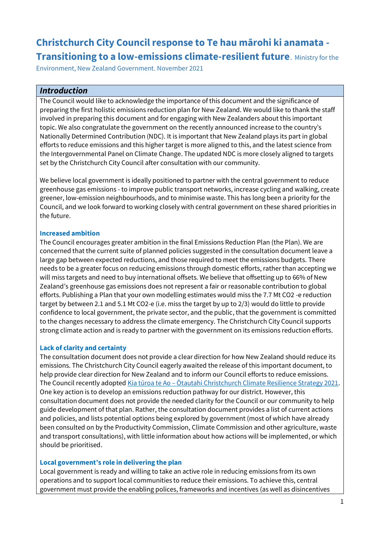# **Christchurch City Council response to Te hau mārohi ki anamata - Transitioning to a low-emissions climate-resilient future**. Ministry for the

Environment, New Zealand Government. November 2021

## *Introduction*

The Council would like to acknowledge the importance of this document and the significance of preparing the first holistic emissions reduction plan for New Zealand. We would like to thank the staff involved in preparing this document and for engaging with New Zealanders about this important topic. We also congratulate the government on the recently announced increase to the country's Nationally Determined Contribution (NDC). It is important that New Zealand plays its part in global efforts to reduce emissions and this higher target is more aligned to this, and the latest science from the Intergovernmental Panel on Climate Change. The updated NDC is more closely aligned to targets set by the Christchurch City Council after consultation with our community.

We believe local government is ideally positioned to partner with the central government to reduce greenhouse gas emissions - to improve public transport networks, increase cycling and walking, create greener, low-emission neighbourhoods, and to minimise waste. This has long been a priority for the Council, and we look forward to working closely with central government on these shared priorities in the future.

#### **Increased ambition**

The Council encourages greater ambition in the final Emissions Reduction Plan (the Plan). We are concerned that the current suite of planned policies suggested in the consultation document leave a large gap between expected reductions, and those required to meet the emissions budgets. There needs to be a greater focus on reducing emissions through domestic efforts, rather than accepting we will miss targets and need to buy international offsets. We believe that offsetting up to 66% of New Zealand's greenhouse gas emissions does not represent a fair or reasonable contribution to global efforts. Publishing a Plan that your own modelling estimates would miss the 7.7 Mt CO2 -e reduction target by between 2.1 and 5.1 Mt CO2-e (i.e. miss the target by up to 2/3) would do little to provide confidence to local government, the private sector, and the public, that the government is committed to the changes necessary to address the climate emergency. The Christchurch City Council supports strong climate action and is ready to partner with the government on its emissions reduction efforts.

#### **Lack of clarity and certainty**

The consultation document does not provide a clear direction for how New Zealand should reduce its emissions. The Christchurch City Council eagerly awaited the release of this important document, to help provide clear direction for New Zealand and to inform our Council efforts to reduce emissions. The Council recently adopted Kia tūroa te Ao – Ōtautahi Christchurch C[limate Resilience Strategy 2021.](https://ccc.govt.nz/environment/climate-change) One key action is to develop an emissions reduction pathway for our district. However, this consultation document does not provide the needed clarity for the Council or our community to help guide development of that plan. Rather, the consultation document provides a list of current actions and policies, and lists potential options being explored by government (most of which have already been consulted on by the Productivity Commission, Climate Commission and other agriculture, waste and transport consultations), with little information about how actions will be implemented, or which should be prioritised.

#### **Local government's role in delivering the plan**

Local government is ready and willing to take an active role in reducing emissions from its own operations and to support local communities to reduce their emissions. To achieve this, central government must provide the enabling polices, frameworks and incentives (as well as disincentives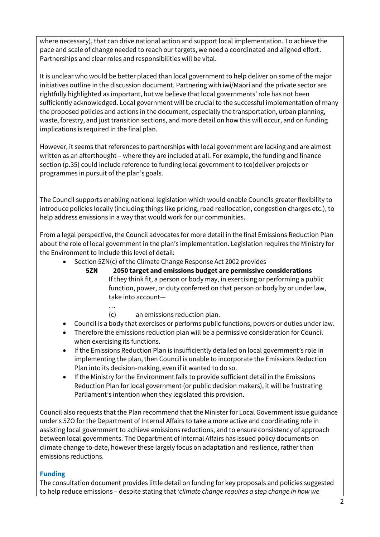where necessary), that can drive national action and support local implementation. To achieve the pace and scale of change needed to reach our targets, we need a coordinated and aligned effort. Partnerships and clear roles and responsibilities will be vital.

It is unclear who would be better placed than local government to help deliver on some of the major initiatives outline in the discussion document. Partnering with iwi/Māori and the private sector are rightfully highlighted as important, but we believe that local governments' role has not been sufficiently acknowledged. Local government will be crucial to the successful implementation of many the proposed policies and actions in the document, especially the transportation, urban planning, waste, forestry, and just transition sections, and more detail on how this will occur, and on funding implications is required in the final plan.

However, it seems that references to partnerships with local government are lacking and are almost written as an afterthought – where they are included at all. For example, the funding and finance section (p.35) could include reference to funding local government to (co)deliver projects or programmes in pursuit of the plan's goals.

The Council supports enabling national legislation which would enable Councils greater flexibility to introduce policies locally (including things like pricing, road reallocation, congestion charges etc.), to help address emissions in a way that would work for our communities.

From a legal perspective, the Council advocates for more detail in the final Emissions Reduction Plan about the role of local government in the plan's implementation. Legislation requires the Ministry for the Environment to include this level of detail:

- Section 5ZN(c) of the Climate Change Response Act 2002 provides
	- **5ZN 2050 target and emissions budget are permissive considerations** If they think fit, a person or body may, in exercising or performing a public function, power, or duty conferred on that person or body by or under law, take into account—
		- …
		- (c) an emissions reduction plan.
- Council is a body that exercises or performs public functions, powers or duties under law.
- Therefore the emissions reduction plan will be a permissive consideration for Council when exercising its functions.
- If the Emissions Reduction Plan is insufficiently detailed on local government's role in implementing the plan, then Council is unable to incorporate the Emissions Reduction Plan into its decision-making, even if it wanted to do so.
- If the Ministry for the Environment fails to provide sufficient detail in the Emissions Reduction Plan for local government (or public decision makers), it will be frustrating Parliament's intention when they legislated this provision.

Council also requests that the Plan recommend that the Minister for Local Government issue guidance under s 5ZO for the Department of Internal Affairs to take a more active and coordinating role in assisting local government to achieve emissions reductions, and to ensure consistency of approach between local governments. The Department of Internal Affairs has issued policy documents on climate change to-date, however these largely focus on adaptation and resilience, rather than emissions reductions.

## **Funding**

The consultation document provides little detail on funding for key proposals and policies suggested to help reduce emissions – despite stating that '*climate change requires a step change in how we*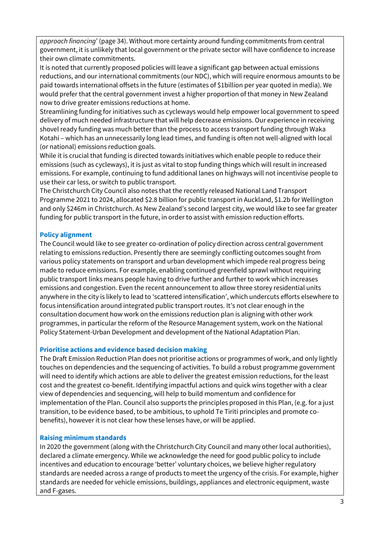*approach financing*' (page 34). Without more certainty around funding commitments from central government, it is unlikely that local government or the private sector will have confidence to increase their own climate commitments.

It is noted that currently proposed policies will leave a significant gap between actual emissions reductions, and our international commitments (our NDC), which will require enormous amounts to be paid towards international offsets in the future (estimates of \$1billion per year quoted in media). We would prefer that the central government invest a higher proportion of that money in New Zealand now to drive greater emissions reductions at home.

Streamlining funding for initiatives such as cycleways would help empower local government to speed delivery of much needed infrastructure that will help decrease emissions. Our experience in receiving shovel ready funding was much better than the process to access transport funding through Waka Kotahi – which has an unnecessarily long lead times, and funding is often not well-aligned with local (or national) emissions reduction goals.

While it is crucial that funding is directed towards initiatives which enable people to reduce their emissions (such as cycleways), it is just as vital to stop funding things which will result in increased emissions. For example, continuing to fund additional lanes on highways will not incentivise people to use their car less, or switch to public transport.

The Christchurch City Council also notes that the recently released National Land Transport Programme 2021 to 2024, allocated \$2.8 billion for public transport in Auckland, \$1.2b for Wellington and only \$246m in Christchurch. As New Zealand's second largest city, we would like to see far greater funding for public transport in the future, in order to assist with emission reduction efforts.

## **Policy alignment**

The Council would like to see greater co-ordination of policy direction across central government relating to emissions reduction. Presently there are seemingly conflicting outcomes sought from various policy statements on transport and urban development which impede real progress being made to reduce emissions. For example, enabling continued greenfield sprawl without requiring public transport links means people having to drive further and further to work which increases emissions and congestion. Even the recent announcement to allow three storey residential units anywhere in the city is likely to lead to 'scattered intensification', which undercuts efforts elsewhere to focus intensification around integrated public transport routes. It's not clear enough in the consultation document how work on the emissions reduction plan is aligning with other work programmes, in particular the reform of the Resource Management system, work on the National Policy Statement-Urban Development and development of the National Adaptation Plan.

## **Prioritise actions and evidence based decision making**

The Draft Emission Reduction Plan does not prioritise actions or programmes of work, and only lightly touches on dependencies and the sequencing of activities. To build a robust programme government will need to identify which actions are able to deliver the greatest emission reductions, for the least cost and the greatest co-benefit. Identifying impactful actions and quick wins together with a clear view of dependencies and sequencing, will help to build momentum and confidence for implementation of the Plan. Council also supports the principles proposed in this Plan, (e.g. for a just transition, to be evidence based, to be ambitious, to uphold Te Tiriti principles and promote cobenefits), however it is not clear how these lenses have, or will be applied.

## **Raising minimum standards**

In 2020 the government (along with the Christchurch City Council and many other local authorities), declared a climate emergency. While we acknowledge the need for good public policy to include incentives and education to encourage 'better' voluntary choices, we believe higher regulatory standards are needed across a range of products to meet the urgency of the crisis. For example, higher standards are needed for vehicle emissions, buildings, appliances and electronic equipment, waste and F-gases.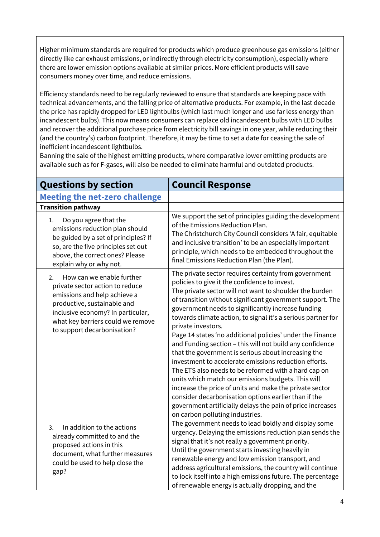Higher minimum standards are required for products which produce greenhouse gas emissions (either directly like car exhaust emissions, or indirectly through electricity consumption), especially where there are lower emission options available at similar prices. More efficient products will save consumers money over time, and reduce emissions.

Efficiency standards need to be regularly reviewed to ensure that standards are keeping pace with technical advancements, and the falling price of alternative products. For example, in the last decade the price has rapidly dropped for LED lightbulbs (which last much longer and use far less energy than incandescent bulbs). This now means consumers can replace old incandescent bulbs with LED bulbs and recover the additional purchase price from electricity bill savings in one year, while reducing their (and the country's) carbon footprint. Therefore, it may be time to set a date for ceasing the sale of inefficient incandescent lightbulbs.

Banning the sale of the highest emitting products, where comparative lower emitting products are available such as for F-gases, will also be needed to eliminate harmful and outdated products.

| <b>Questions by section</b>                                                                                                                                                                                                                | <b>Council Response</b>                                                                                                                                                                                                                                                                                                                                                                                                                                                                                                                                                                                                                                                                                                                                                                                                                                                                                                                               |
|--------------------------------------------------------------------------------------------------------------------------------------------------------------------------------------------------------------------------------------------|-------------------------------------------------------------------------------------------------------------------------------------------------------------------------------------------------------------------------------------------------------------------------------------------------------------------------------------------------------------------------------------------------------------------------------------------------------------------------------------------------------------------------------------------------------------------------------------------------------------------------------------------------------------------------------------------------------------------------------------------------------------------------------------------------------------------------------------------------------------------------------------------------------------------------------------------------------|
| <b>Meeting the net-zero challenge</b>                                                                                                                                                                                                      |                                                                                                                                                                                                                                                                                                                                                                                                                                                                                                                                                                                                                                                                                                                                                                                                                                                                                                                                                       |
| <b>Transition pathway</b>                                                                                                                                                                                                                  |                                                                                                                                                                                                                                                                                                                                                                                                                                                                                                                                                                                                                                                                                                                                                                                                                                                                                                                                                       |
| Do you agree that the<br>1.<br>emissions reduction plan should<br>be guided by a set of principles? If<br>so, are the five principles set out<br>above, the correct ones? Please<br>explain why or why not.                                | We support the set of principles guiding the development<br>of the Emissions Reduction Plan.<br>The Christchurch City Council considers 'A fair, equitable<br>and inclusive transition' to be an especially important<br>principle, which needs to be embedded throughout the<br>final Emissions Reduction Plan (the Plan).                                                                                                                                                                                                                                                                                                                                                                                                                                                                                                                                                                                                                           |
| How can we enable further<br>2.<br>private sector action to reduce<br>emissions and help achieve a<br>productive, sustainable and<br>inclusive economy? In particular,<br>what key barriers could we remove<br>to support decarbonisation? | The private sector requires certainty from government<br>policies to give it the confidence to invest.<br>The private sector will not want to shoulder the burden<br>of transition without significant government support. The<br>government needs to significantly increase funding<br>towards climate action, to signal it's a serious partner for<br>private investors.<br>Page 14 states 'no additional policies' under the Finance<br>and Funding section - this will not build any confidence<br>that the government is serious about increasing the<br>investment to accelerate emissions reduction efforts.<br>The ETS also needs to be reformed with a hard cap on<br>units which match our emissions budgets. This will<br>increase the price of units and make the private sector<br>consider decarbonisation options earlier than if the<br>government artificially delays the pain of price increases<br>on carbon polluting industries. |
| In addition to the actions<br>3.<br>already committed to and the<br>proposed actions in this<br>document, what further measures<br>could be used to help close the<br>gap?                                                                 | The government needs to lead boldly and display some<br>urgency. Delaying the emissions reduction plan sends the<br>signal that it's not really a government priority.<br>Until the government starts investing heavily in<br>renewable energy and low emission transport, and<br>address agricultural emissions, the country will continue<br>to lock itself into a high emissions future. The percentage<br>of renewable energy is actually dropping, and the                                                                                                                                                                                                                                                                                                                                                                                                                                                                                       |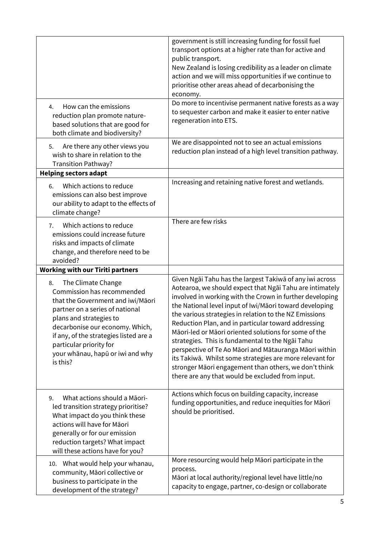|                                                                                                                                                                                                                                                                                                                   | government is still increasing funding for fossil fuel<br>transport options at a higher rate than for active and<br>public transport.<br>New Zealand is losing credibility as a leader on climate<br>action and we will miss opportunities if we continue to<br>prioritise other areas ahead of decarbonising the<br>economy.                                                                                                                                                                                                                                                                                                                                                                                |
|-------------------------------------------------------------------------------------------------------------------------------------------------------------------------------------------------------------------------------------------------------------------------------------------------------------------|--------------------------------------------------------------------------------------------------------------------------------------------------------------------------------------------------------------------------------------------------------------------------------------------------------------------------------------------------------------------------------------------------------------------------------------------------------------------------------------------------------------------------------------------------------------------------------------------------------------------------------------------------------------------------------------------------------------|
| How can the emissions<br>4.<br>reduction plan promote nature-<br>based solutions that are good for<br>both climate and biodiversity?                                                                                                                                                                              | Do more to incentivise permanent native forests as a way<br>to sequester carbon and make it easier to enter native<br>regeneration into ETS.                                                                                                                                                                                                                                                                                                                                                                                                                                                                                                                                                                 |
| Are there any other views you<br>5.<br>wish to share in relation to the<br>Transition Pathway?<br><b>Helping sectors adapt</b>                                                                                                                                                                                    | We are disappointed not to see an actual emissions<br>reduction plan instead of a high level transition pathway.                                                                                                                                                                                                                                                                                                                                                                                                                                                                                                                                                                                             |
| Which actions to reduce<br>6.<br>emissions can also best improve<br>our ability to adapt to the effects of<br>climate change?                                                                                                                                                                                     | Increasing and retaining native forest and wetlands.                                                                                                                                                                                                                                                                                                                                                                                                                                                                                                                                                                                                                                                         |
| Which actions to reduce<br>7.<br>emissions could increase future<br>risks and impacts of climate<br>change, and therefore need to be<br>avoided?                                                                                                                                                                  | There are few risks                                                                                                                                                                                                                                                                                                                                                                                                                                                                                                                                                                                                                                                                                          |
| <b>Working with our Tiriti partners</b>                                                                                                                                                                                                                                                                           |                                                                                                                                                                                                                                                                                                                                                                                                                                                                                                                                                                                                                                                                                                              |
| The Climate Change<br>8.<br>Commission has recommended<br>that the Government and iwi/Māori<br>partner on a series of national<br>plans and strategies to<br>decarbonise our economy. Which,<br>if any, of the strategies listed are a<br>particular priority for<br>your whānau, hapū or iwi and why<br>is this? | Given Ngāi Tahu has the largest Takiwā of any iwi across<br>Aotearoa, we should expect that Ngai Tahu are intimately<br>involved in working with the Crown in further developing<br>the National level input of Iwi/Māori toward developing<br>the various strategies in relation to the NZ Emissions<br>Reduction Plan, and in particular toward addressing<br>Māori-led or Māori oriented solutions for some of the<br>strategies. This is fundamental to the Ngai Tahu<br>perspective of Te Ao Māori and Mātauranga Māori within<br>its Takiwā. Whilst some strategies are more relevant for<br>stronger Māori engagement than others, we don't think<br>there are any that would be excluded from input. |
| What actions should a Māori-<br>9.<br>led transition strategy prioritise?<br>What impact do you think these<br>actions will have for Māori<br>generally or for our emission<br>reduction targets? What impact<br>will these actions have for you?                                                                 | Actions which focus on building capacity, increase<br>funding opportunities, and reduce inequities for Māori<br>should be prioritised.                                                                                                                                                                                                                                                                                                                                                                                                                                                                                                                                                                       |
| 10. What would help your whanau,<br>community, Māori collective or<br>business to participate in the<br>development of the strategy?                                                                                                                                                                              | More resourcing would help Māori participate in the<br>process.<br>Māori at local authority/regional level have little/no<br>capacity to engage, partner, co-design or collaborate                                                                                                                                                                                                                                                                                                                                                                                                                                                                                                                           |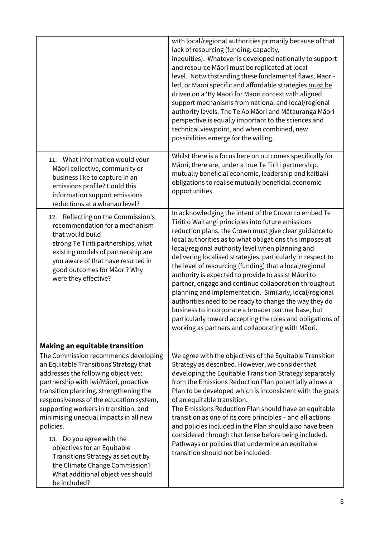|                                                                                                                                                                                                                                                                                                                                                                                                                                                                                                                                             | with local/regional authorities primarily because of that<br>lack of resourcing (funding, capacity,<br>inequities). Whatever is developed nationally to support<br>and resource Māori must be replicated at local<br>level. Notwithstanding these fundamental flaws, Maori-<br>led, or Māori specific and affordable strategies must be<br>driven on a 'By Māori for Māori context with aligned<br>support mechanisms from national and local/regional<br>authority levels. The Te Ao Māori and Mātauranga Māori<br>perspective is equally important to the sciences and<br>technical viewpoint, and when combined, new<br>possibilities emerge for the willing.                                                                                                                                                             |
|---------------------------------------------------------------------------------------------------------------------------------------------------------------------------------------------------------------------------------------------------------------------------------------------------------------------------------------------------------------------------------------------------------------------------------------------------------------------------------------------------------------------------------------------|------------------------------------------------------------------------------------------------------------------------------------------------------------------------------------------------------------------------------------------------------------------------------------------------------------------------------------------------------------------------------------------------------------------------------------------------------------------------------------------------------------------------------------------------------------------------------------------------------------------------------------------------------------------------------------------------------------------------------------------------------------------------------------------------------------------------------|
| 11. What information would your<br>Māori collective, community or<br>business like to capture in an<br>emissions profile? Could this<br>information support emissions<br>reductions at a whanau level?                                                                                                                                                                                                                                                                                                                                      | Whilst there is a focus here on outcomes specifically for<br>Māori, there are, under a true Te Tiriti partnership,<br>mutually beneficial economic, leadership and kaitiaki<br>obligations to realise mutually beneficial economic<br>opportunities.                                                                                                                                                                                                                                                                                                                                                                                                                                                                                                                                                                         |
| 12. Reflecting on the Commission's<br>recommendation for a mechanism<br>that would build<br>strong Te Tiriti partnerships, what<br>existing models of partnership are<br>you aware of that have resulted in<br>good outcomes for Māori? Why<br>were they effective?                                                                                                                                                                                                                                                                         | In acknowledging the intent of the Crown to embed Te<br>Tiriti o Waitangi principles into future emissions<br>reduction plans, the Crown must give clear guidance to<br>local authorities as to what obligations this imposes at<br>local/regional authority level when planning and<br>delivering localised strategies, particularly in respect to<br>the level of resourcing (funding) that a local/regional<br>authority is expected to provide to assist Māori to<br>partner, engage and continue collaboration throughout<br>planning and implementation. Similarly, local/regional<br>authorities need to be ready to change the way they do<br>business to incorporate a broader partner base, but<br>particularly toward accepting the roles and obligations of<br>working as partners and collaborating with Māori. |
| <b>Making an equitable transition</b>                                                                                                                                                                                                                                                                                                                                                                                                                                                                                                       |                                                                                                                                                                                                                                                                                                                                                                                                                                                                                                                                                                                                                                                                                                                                                                                                                              |
| The Commission recommends developing<br>an Equitable Transitions Strategy that<br>addresses the following objectives:<br>partnership with iwi/Māori, proactive<br>transition planning, strengthening the<br>responsiveness of the education system,<br>supporting workers in transition, and<br>minimising unequal impacts in all new<br>policies.<br>13. Do you agree with the<br>objectives for an Equitable<br>Transitions Strategy as set out by<br>the Climate Change Commission?<br>What additional objectives should<br>be included? | We agree with the objectives of the Equitable Transition<br>Strategy as described. However, we consider that<br>developing the Equitable Transition Strategy separately<br>from the Emissions Reduction Plan potentially allows a<br>Plan to be developed which is inconsistent with the goals<br>of an equitable transition.<br>The Emissions Reduction Plan should have an equitable<br>transition as one of its core principles - and all actions<br>and policies included in the Plan should also have been<br>considered through that lense before being included.<br>Pathways or policies that undermine an equitable<br>transition should not be included.                                                                                                                                                            |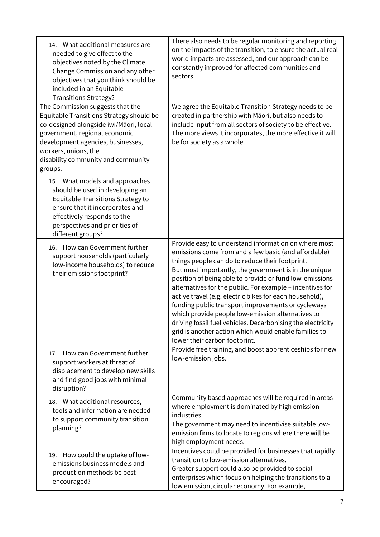| 14. What additional measures are<br>needed to give effect to the<br>objectives noted by the Climate<br>Change Commission and any other<br>objectives that you think should be<br>included in an Equitable<br><b>Transitions Strategy?</b>                             | There also needs to be regular monitoring and reporting<br>on the impacts of the transition, to ensure the actual real<br>world impacts are assessed, and our approach can be<br>constantly improved for affected communities and<br>sectors.                                                                                                                                                                                                                                                                                                                                                                                                                                   |
|-----------------------------------------------------------------------------------------------------------------------------------------------------------------------------------------------------------------------------------------------------------------------|---------------------------------------------------------------------------------------------------------------------------------------------------------------------------------------------------------------------------------------------------------------------------------------------------------------------------------------------------------------------------------------------------------------------------------------------------------------------------------------------------------------------------------------------------------------------------------------------------------------------------------------------------------------------------------|
| The Commission suggests that the<br>Equitable Transitions Strategy should be<br>co-designed alongside iwi/Māori, local<br>government, regional economic<br>development agencies, businesses,<br>workers, unions, the<br>disability community and community<br>groups. | We agree the Equitable Transition Strategy needs to be<br>created in partnership with Māori, but also needs to<br>include input from all sectors of society to be effective.<br>The more views it incorporates, the more effective it will<br>be for society as a whole.                                                                                                                                                                                                                                                                                                                                                                                                        |
| 15. What models and approaches<br>should be used in developing an<br>Equitable Transitions Strategy to<br>ensure that it incorporates and<br>effectively responds to the<br>perspectives and priorities of<br>different groups?                                       |                                                                                                                                                                                                                                                                                                                                                                                                                                                                                                                                                                                                                                                                                 |
| How can Government further<br>16.<br>support households (particularly<br>low-income households) to reduce<br>their emissions footprint?                                                                                                                               | Provide easy to understand information on where most<br>emissions come from and a few basic (and affordable)<br>things people can do to reduce their footprint.<br>But most importantly, the government is in the unique<br>position of being able to provide or fund low-emissions<br>alternatives for the public. For example - incentives for<br>active travel (e.g. electric bikes for each household),<br>funding public transport improvements or cycleways<br>which provide people low-emission alternatives to<br>driving fossil fuel vehicles. Decarbonising the electricity<br>grid is another action which would enable families to<br>lower their carbon footprint. |
| How can Government further<br>17.<br>support workers at threat of<br>displacement to develop new skills<br>and find good jobs with minimal<br>disruption?                                                                                                             | Provide free training, and boost apprenticeships for new<br>low-emission jobs.                                                                                                                                                                                                                                                                                                                                                                                                                                                                                                                                                                                                  |
| 18. What additional resources,<br>tools and information are needed<br>to support community transition<br>planning?                                                                                                                                                    | Community based approaches will be required in areas<br>where employment is dominated by high emission<br>industries.<br>The government may need to incentivise suitable low-<br>emission firms to locate to regions where there will be<br>high employment needs.                                                                                                                                                                                                                                                                                                                                                                                                              |
| How could the uptake of low-<br>19.<br>emissions business models and<br>production methods be best<br>encouraged?                                                                                                                                                     | Incentives could be provided for businesses that rapidly<br>transition to low-emission alternatives.<br>Greater support could also be provided to social<br>enterprises which focus on helping the transitions to a<br>low emission, circular economy. For example,                                                                                                                                                                                                                                                                                                                                                                                                             |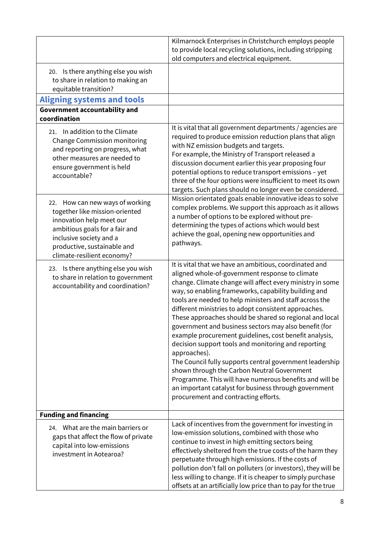|                                                                                                                                                                                                                         | Kilmarnock Enterprises in Christchurch employs people<br>to provide local recycling solutions, including stripping<br>old computers and electrical equipment.                                                                                                                                                                                                                                                                                                                                                                                                                                                                                                                                                                                                                                                                                                                 |
|-------------------------------------------------------------------------------------------------------------------------------------------------------------------------------------------------------------------------|-------------------------------------------------------------------------------------------------------------------------------------------------------------------------------------------------------------------------------------------------------------------------------------------------------------------------------------------------------------------------------------------------------------------------------------------------------------------------------------------------------------------------------------------------------------------------------------------------------------------------------------------------------------------------------------------------------------------------------------------------------------------------------------------------------------------------------------------------------------------------------|
| 20. Is there anything else you wish<br>to share in relation to making an<br>equitable transition?                                                                                                                       |                                                                                                                                                                                                                                                                                                                                                                                                                                                                                                                                                                                                                                                                                                                                                                                                                                                                               |
| <b>Aligning systems and tools</b>                                                                                                                                                                                       |                                                                                                                                                                                                                                                                                                                                                                                                                                                                                                                                                                                                                                                                                                                                                                                                                                                                               |
| <b>Government accountability and</b>                                                                                                                                                                                    |                                                                                                                                                                                                                                                                                                                                                                                                                                                                                                                                                                                                                                                                                                                                                                                                                                                                               |
| coordination                                                                                                                                                                                                            |                                                                                                                                                                                                                                                                                                                                                                                                                                                                                                                                                                                                                                                                                                                                                                                                                                                                               |
| 21. In addition to the Climate<br>Change Commission monitoring<br>and reporting on progress, what<br>other measures are needed to<br>ensure government is held<br>accountable?                                          | It is vital that all government departments / agencies are<br>required to produce emission reduction plans that align<br>with NZ emission budgets and targets.<br>For example, the Ministry of Transport released a<br>discussion document earlier this year proposing four<br>potential options to reduce transport emissions - yet<br>three of the four options were insufficient to meet its own<br>targets. Such plans should no longer even be considered.                                                                                                                                                                                                                                                                                                                                                                                                               |
| 22. How can new ways of working<br>together like mission-oriented<br>innovation help meet our<br>ambitious goals for a fair and<br>inclusive society and a<br>productive, sustainable and<br>climate-resilient economy? | Mission orientated goals enable innovative ideas to solve<br>complex problems. We support this approach as it allows<br>a number of options to be explored without pre-<br>determining the types of actions which would best<br>achieve the goal, opening new opportunities and<br>pathways.                                                                                                                                                                                                                                                                                                                                                                                                                                                                                                                                                                                  |
| 23. Is there anything else you wish<br>to share in relation to government<br>accountability and coordination?                                                                                                           | It is vital that we have an ambitious, coordinated and<br>aligned whole-of-government response to climate<br>change. Climate change will affect every ministry in some<br>way, so enabling frameworks, capability building and<br>tools are needed to help ministers and staff across the<br>different ministries to adopt consistent approaches.<br>These approaches should be shared so regional and local<br>government and business sectors may also benefit (for<br>example procurement guidelines, cost benefit analysis,<br>decision support tools and monitoring and reporting<br>approaches).<br>The Council fully supports central government leadership<br>shown through the Carbon Neutral Government<br>Programme. This will have numerous benefits and will be<br>an important catalyst for business through government<br>procurement and contracting efforts. |
| <b>Funding and financing</b>                                                                                                                                                                                            |                                                                                                                                                                                                                                                                                                                                                                                                                                                                                                                                                                                                                                                                                                                                                                                                                                                                               |
| 24. What are the main barriers or<br>gaps that affect the flow of private<br>capital into low-emissions<br>investment in Aotearoa?                                                                                      | Lack of incentives from the government for investing in<br>low-emission solutions, combined with those who<br>continue to invest in high emitting sectors being<br>effectively sheltered from the true costs of the harm they<br>perpetuate through high emissions. If the costs of<br>pollution don't fall on polluters (or investors), they will be<br>less willing to change. If it is cheaper to simply purchase<br>offsets at an artificially low price than to pay for the true                                                                                                                                                                                                                                                                                                                                                                                         |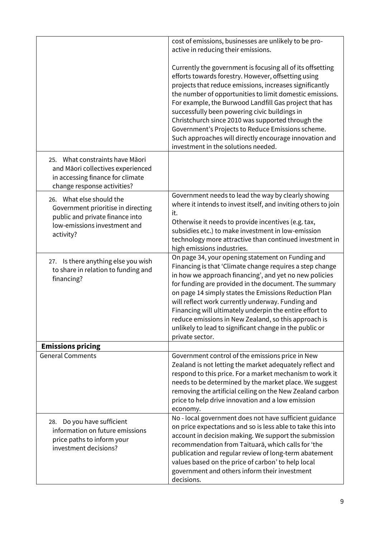|                                                                                                                                                | cost of emissions, businesses are unlikely to be pro-<br>active in reducing their emissions.                                                                                                                                                                                                                                                                                                                                                                                                                                                                   |
|------------------------------------------------------------------------------------------------------------------------------------------------|----------------------------------------------------------------------------------------------------------------------------------------------------------------------------------------------------------------------------------------------------------------------------------------------------------------------------------------------------------------------------------------------------------------------------------------------------------------------------------------------------------------------------------------------------------------|
|                                                                                                                                                | Currently the government is focusing all of its offsetting<br>efforts towards forestry. However, offsetting using<br>projects that reduce emissions, increases significantly<br>the number of opportunities to limit domestic emissions.<br>For example, the Burwood Landfill Gas project that has<br>successfully been powering civic buildings in<br>Christchurch since 2010 was supported through the<br>Government's Projects to Reduce Emissions scheme.<br>Such approaches will directly encourage innovation and<br>investment in the solutions needed. |
| What constraints have Māori<br>25.<br>and Māori collectives experienced<br>in accessing finance for climate<br>change response activities?     |                                                                                                                                                                                                                                                                                                                                                                                                                                                                                                                                                                |
| 26. What else should the<br>Government prioritise in directing<br>public and private finance into<br>low-emissions investment and<br>activity? | Government needs to lead the way by clearly showing<br>where it intends to invest itself, and inviting others to join<br>it.<br>Otherwise it needs to provide incentives (e.g. tax,<br>subsidies etc.) to make investment in low-emission<br>technology more attractive than continued investment in<br>high emissions industries.                                                                                                                                                                                                                             |
| 27. Is there anything else you wish<br>to share in relation to funding and<br>financing?                                                       | On page 34, your opening statement on Funding and<br>Financing is that 'Climate change requires a step change<br>in how we approach financing', and yet no new policies<br>for funding are provided in the document. The summary<br>on page 14 simply states the Emissions Reduction Plan<br>will reflect work currently underway. Funding and<br>Financing will ultimately underpin the entire effort to<br>reduce emissions in New Zealand, so this approach is<br>unlikely to lead to significant change in the public or<br>private sector.                |
| <b>Emissions pricing</b>                                                                                                                       |                                                                                                                                                                                                                                                                                                                                                                                                                                                                                                                                                                |
| <b>General Comments</b>                                                                                                                        | Government control of the emissions price in New<br>Zealand is not letting the market adequately reflect and<br>respond to this price. For a market mechanism to work it<br>needs to be determined by the market place. We suggest<br>removing the artificial ceiling on the New Zealand carbon<br>price to help drive innovation and a low emission<br>economy.                                                                                                                                                                                               |
| Do you have sufficient<br>28.<br>information on future emissions<br>price paths to inform your<br>investment decisions?                        | No - local government does not have sufficient guidance<br>on price expectations and so is less able to take this into<br>account in decision making. We support the submission<br>recommendation from Taituarā, which calls for 'the<br>publication and regular review of long-term abatement<br>values based on the price of carbon' to help local<br>government and others inform their investment<br>decisions.                                                                                                                                            |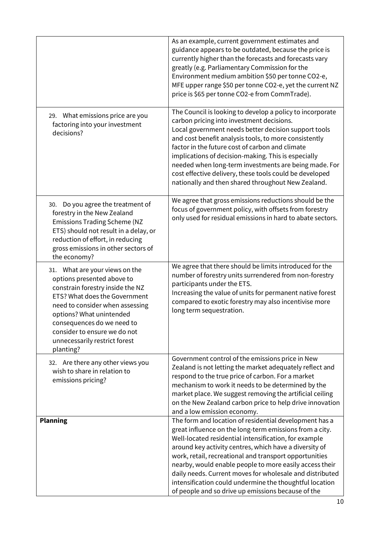|                                                                                                                                                                                                                                                                                                              | As an example, current government estimates and<br>guidance appears to be outdated, because the price is<br>currently higher than the forecasts and forecasts vary<br>greatly (e.g. Parliamentary Commission for the<br>Environment medium ambition \$50 per tonne CO2-e,<br>MFE upper range \$50 per tonne CO2-e, yet the current NZ<br>price is \$65 per tonne CO2-e from CommTrade).                                                                                                                                                |
|--------------------------------------------------------------------------------------------------------------------------------------------------------------------------------------------------------------------------------------------------------------------------------------------------------------|----------------------------------------------------------------------------------------------------------------------------------------------------------------------------------------------------------------------------------------------------------------------------------------------------------------------------------------------------------------------------------------------------------------------------------------------------------------------------------------------------------------------------------------|
| 29. What emissions price are you<br>factoring into your investment<br>decisions?                                                                                                                                                                                                                             | The Council is looking to develop a policy to incorporate<br>carbon pricing into investment decisions.<br>Local government needs better decision support tools<br>and cost benefit analysis tools, to more consistently<br>factor in the future cost of carbon and climate<br>implications of decision-making. This is especially<br>needed when long-term investments are being made. For<br>cost effective delivery, these tools could be developed<br>nationally and then shared throughout New Zealand.                            |
| Do you agree the treatment of<br>30.<br>forestry in the New Zealand<br><b>Emissions Trading Scheme (NZ</b><br>ETS) should not result in a delay, or<br>reduction of effort, in reducing<br>gross emissions in other sectors of<br>the economy?                                                               | We agree that gross emissions reductions should be the<br>focus of government policy, with offsets from forestry<br>only used for residual emissions in hard to abate sectors.                                                                                                                                                                                                                                                                                                                                                         |
| 31. What are your views on the<br>options presented above to<br>constrain forestry inside the NZ<br>ETS? What does the Government<br>need to consider when assessing<br>options? What unintended<br>consequences do we need to<br>consider to ensure we do not<br>unnecessarily restrict forest<br>planting? | We agree that there should be limits introduced for the<br>number of forestry units surrendered from non-forestry<br>participants under the ETS.<br>Increasing the value of units for permanent native forest<br>compared to exotic forestry may also incentivise more<br>long term sequestration.                                                                                                                                                                                                                                     |
| 32. Are there any other views you<br>wish to share in relation to<br>emissions pricing?                                                                                                                                                                                                                      | Government control of the emissions price in New<br>Zealand is not letting the market adequately reflect and<br>respond to the true price of carbon. For a market<br>mechanism to work it needs to be determined by the<br>market place. We suggest removing the artificial ceiling<br>on the New Zealand carbon price to help drive innovation<br>and a low emission economy.                                                                                                                                                         |
| <b>Planning</b>                                                                                                                                                                                                                                                                                              | The form and location of residential development has a<br>great influence on the long-term emissions from a city.<br>Well-located residential intensification, for example<br>around key activity centres, which have a diversity of<br>work, retail, recreational and transport opportunities<br>nearby, would enable people to more easily access their<br>daily needs. Current moves for wholesale and distributed<br>intensification could undermine the thoughtful location<br>of people and so drive up emissions because of the |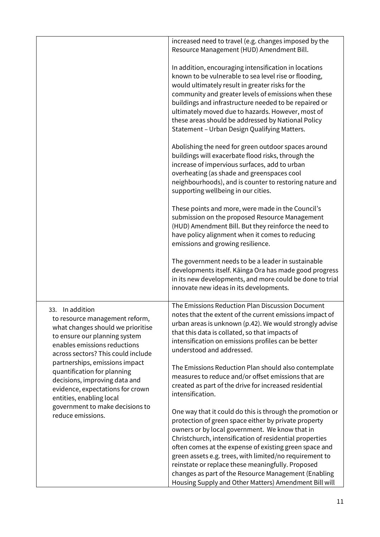|                                                                                                                                                                                                                        | increased need to travel (e.g. changes imposed by the<br>Resource Management (HUD) Amendment Bill.                                                                                                                                                                                                                                                                                                                                             |
|------------------------------------------------------------------------------------------------------------------------------------------------------------------------------------------------------------------------|------------------------------------------------------------------------------------------------------------------------------------------------------------------------------------------------------------------------------------------------------------------------------------------------------------------------------------------------------------------------------------------------------------------------------------------------|
|                                                                                                                                                                                                                        | In addition, encouraging intensification in locations<br>known to be vulnerable to sea level rise or flooding,<br>would ultimately result in greater risks for the<br>community and greater levels of emissions when these<br>buildings and infrastructure needed to be repaired or<br>ultimately moved due to hazards. However, most of<br>these areas should be addressed by National Policy<br>Statement - Urban Design Qualifying Matters. |
|                                                                                                                                                                                                                        | Abolishing the need for green outdoor spaces around<br>buildings will exacerbate flood risks, through the<br>increase of impervious surfaces, add to urban<br>overheating (as shade and greenspaces cool<br>neighbourhoods), and is counter to restoring nature and<br>supporting wellbeing in our cities.                                                                                                                                     |
|                                                                                                                                                                                                                        | These points and more, were made in the Council's<br>submission on the proposed Resource Management<br>(HUD) Amendment Bill. But they reinforce the need to<br>have policy alignment when it comes to reducing<br>emissions and growing resilience.                                                                                                                                                                                            |
|                                                                                                                                                                                                                        | The government needs to be a leader in sustainable<br>developments itself. Kāinga Ora has made good progress<br>in its new developments, and more could be done to trial<br>innovate new ideas in its developments.                                                                                                                                                                                                                            |
| In addition<br>33.<br>to resource management reform,<br>what changes should we prioritise<br>to ensure our planning system<br>enables emissions reductions<br>across sectors? This could include                       | The Emissions Reduction Plan Discussion Document<br>notes that the extent of the current emissions impact of<br>urban areas is unknown (p.42). We would strongly advise<br>that this data is collated, so that impacts of<br>intensification on emissions profiles can be better<br>understood and addressed.                                                                                                                                  |
| partnerships, emissions impact<br>quantification for planning<br>decisions, improving data and<br>evidence, expectations for crown<br>entities, enabling local<br>government to make decisions to<br>reduce emissions. | The Emissions Reduction Plan should also contemplate<br>measures to reduce and/or offset emissions that are<br>created as part of the drive for increased residential<br>intensification.                                                                                                                                                                                                                                                      |
|                                                                                                                                                                                                                        | One way that it could do this is through the promotion or<br>protection of green space either by private property<br>owners or by local government. We know that in<br>Christchurch, intensification of residential properties<br>often comes at the expense of existing green space and                                                                                                                                                       |
|                                                                                                                                                                                                                        | green assets e.g. trees, with limited/no requirement to<br>reinstate or replace these meaningfully. Proposed<br>changes as part of the Resource Management (Enabling<br>Housing Supply and Other Matters) Amendment Bill will                                                                                                                                                                                                                  |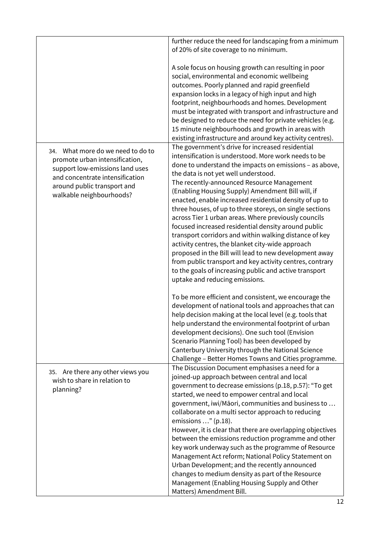|                                                                    | further reduce the need for landscaping from a minimum     |
|--------------------------------------------------------------------|------------------------------------------------------------|
|                                                                    | of 20% of site coverage to no minimum.                     |
|                                                                    |                                                            |
|                                                                    | A sole focus on housing growth can resulting in poor       |
|                                                                    | social, environmental and economic wellbeing               |
|                                                                    | outcomes. Poorly planned and rapid greenfield              |
|                                                                    | expansion locks in a legacy of high input and high         |
|                                                                    | footprint, neighbourhoods and homes. Development           |
|                                                                    | must be integrated with transport and infrastructure and   |
|                                                                    | be designed to reduce the need for private vehicles (e.g.  |
|                                                                    | 15 minute neighbourhoods and growth in areas with          |
|                                                                    | existing infrastructure and around key activity centres).  |
| 34. What more do we need to do to                                  | The government's drive for increased residential           |
|                                                                    | intensification is understood. More work needs to be       |
| promote urban intensification,                                     | done to understand the impacts on emissions - as above,    |
| support low-emissions land uses<br>and concentrate intensification | the data is not yet well understood.                       |
|                                                                    | The recently-announced Resource Management                 |
| around public transport and                                        | (Enabling Housing Supply) Amendment Bill will, if          |
| walkable neighbourhoods?                                           | enacted, enable increased residential density of up to     |
|                                                                    | three houses, of up to three storeys, on single sections   |
|                                                                    | across Tier 1 urban areas. Where previously councils       |
|                                                                    | focused increased residential density around public        |
|                                                                    | transport corridors and within walking distance of key     |
|                                                                    | activity centres, the blanket city-wide approach           |
|                                                                    | proposed in the Bill will lead to new development away     |
|                                                                    | from public transport and key activity centres, contrary   |
|                                                                    | to the goals of increasing public and active transport     |
|                                                                    | uptake and reducing emissions.                             |
|                                                                    |                                                            |
|                                                                    | To be more efficient and consistent, we encourage the      |
|                                                                    | development of national tools and approaches that can      |
|                                                                    | help decision making at the local level (e.g. tools that   |
|                                                                    | help understand the environmental footprint of urban       |
|                                                                    | development decisions). One such tool (Envision            |
|                                                                    | Scenario Planning Tool) has been developed by              |
|                                                                    | Canterbury University through the National Science         |
|                                                                    | Challenge - Better Homes Towns and Cities programme.       |
| 35. Are there any other views you                                  | The Discussion Document emphasises a need for a            |
| wish to share in relation to                                       | joined-up approach between central and local               |
| planning?                                                          | government to decrease emissions (p.18, p.57): "To get     |
|                                                                    | started, we need to empower central and local              |
|                                                                    | government, iwi/Māori, communities and business to         |
|                                                                    | collaborate on a multi sector approach to reducing         |
|                                                                    | emissions " (p.18).                                        |
|                                                                    | However, it is clear that there are overlapping objectives |
|                                                                    | between the emissions reduction programme and other        |
|                                                                    | key work underway such as the programme of Resource        |
|                                                                    | Management Act reform; National Policy Statement on        |
|                                                                    | Urban Development; and the recently announced              |
|                                                                    | changes to medium density as part of the Resource          |
|                                                                    | Management (Enabling Housing Supply and Other              |
|                                                                    | Matters) Amendment Bill.                                   |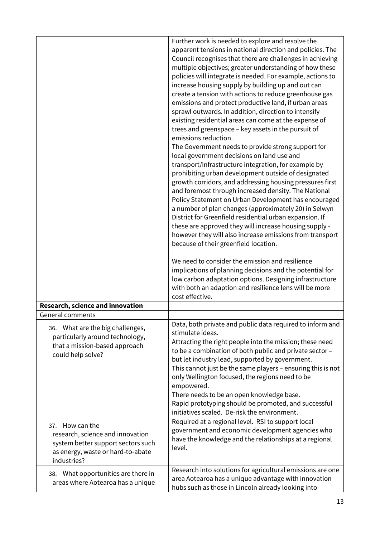|                                                                                                                                                  | Further work is needed to explore and resolve the<br>apparent tensions in national direction and policies. The<br>Council recognises that there are challenges in achieving<br>multiple objectives; greater understanding of how these<br>policies will integrate is needed. For example, actions to<br>increase housing supply by building up and out can<br>create a tension with actions to reduce greenhouse gas<br>emissions and protect productive land, if urban areas<br>sprawl outwards. In addition, direction to intensify<br>existing residential areas can come at the expense of<br>trees and greenspace - key assets in the pursuit of<br>emissions reduction.<br>The Government needs to provide strong support for<br>local government decisions on land use and<br>transport/infrastructure integration, for example by<br>prohibiting urban development outside of designated<br>growth corridors, and addressing housing pressures first<br>and foremost through increased density. The National<br>Policy Statement on Urban Development has encouraged<br>a number of plan changes (approximately 20) in Selwyn<br>District for Greenfield residential urban expansion. If<br>these are approved they will increase housing supply -<br>however they will also increase emissions from transport<br>because of their greenfield location.<br>We need to consider the emission and resilience<br>implications of planning decisions and the potential for<br>low carbon adaptation options. Designing infrastructure<br>with both an adaption and resilience lens will be more<br>cost effective. |
|--------------------------------------------------------------------------------------------------------------------------------------------------|------------------------------------------------------------------------------------------------------------------------------------------------------------------------------------------------------------------------------------------------------------------------------------------------------------------------------------------------------------------------------------------------------------------------------------------------------------------------------------------------------------------------------------------------------------------------------------------------------------------------------------------------------------------------------------------------------------------------------------------------------------------------------------------------------------------------------------------------------------------------------------------------------------------------------------------------------------------------------------------------------------------------------------------------------------------------------------------------------------------------------------------------------------------------------------------------------------------------------------------------------------------------------------------------------------------------------------------------------------------------------------------------------------------------------------------------------------------------------------------------------------------------------------------------------------------------------------------------------------------------|
| Research, science and innovation                                                                                                                 |                                                                                                                                                                                                                                                                                                                                                                                                                                                                                                                                                                                                                                                                                                                                                                                                                                                                                                                                                                                                                                                                                                                                                                                                                                                                                                                                                                                                                                                                                                                                                                                                                        |
| <b>General comments</b>                                                                                                                          |                                                                                                                                                                                                                                                                                                                                                                                                                                                                                                                                                                                                                                                                                                                                                                                                                                                                                                                                                                                                                                                                                                                                                                                                                                                                                                                                                                                                                                                                                                                                                                                                                        |
| 36. What are the big challenges,<br>particularly around technology,<br>that a mission-based approach<br>could help solve?                        | Data, both private and public data required to inform and<br>stimulate ideas.<br>Attracting the right people into the mission; these need<br>to be a combination of both public and private sector -<br>but let industry lead, supported by government.<br>This cannot just be the same players - ensuring this is not<br>only Wellington focused, the regions need to be<br>empowered.<br>There needs to be an open knowledge base.<br>Rapid prototyping should be promoted, and successful<br>initiatives scaled. De-risk the environment.                                                                                                                                                                                                                                                                                                                                                                                                                                                                                                                                                                                                                                                                                                                                                                                                                                                                                                                                                                                                                                                                           |
| How can the<br>37.<br>research, science and innovation<br>system better support sectors such<br>as energy, waste or hard-to-abate<br>industries? | Required at a regional level. RSI to support local<br>government and economic development agencies who<br>have the knowledge and the relationships at a regional<br>level.                                                                                                                                                                                                                                                                                                                                                                                                                                                                                                                                                                                                                                                                                                                                                                                                                                                                                                                                                                                                                                                                                                                                                                                                                                                                                                                                                                                                                                             |
| 38. What opportunities are there in<br>areas where Aotearoa has a unique                                                                         | Research into solutions for agricultural emissions are one<br>area Aotearoa has a unique advantage with innovation<br>hubs such as those in Lincoln already looking into                                                                                                                                                                                                                                                                                                                                                                                                                                                                                                                                                                                                                                                                                                                                                                                                                                                                                                                                                                                                                                                                                                                                                                                                                                                                                                                                                                                                                                               |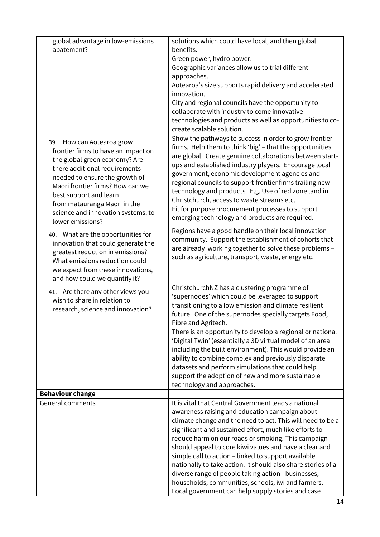| global advantage in low-emissions<br>abatement?                                                                                                                                                                                                                                                                              | solutions which could have local, and then global<br>benefits.<br>Green power, hydro power.<br>Geographic variances allow us to trial different<br>approaches.<br>Aotearoa's size supports rapid delivery and accelerated<br>innovation.<br>City and regional councils have the opportunity to<br>collaborate with industry to come innovative<br>technologies and products as well as opportunities to co-<br>create scalable solution.                                                                                                                                                                                                |
|------------------------------------------------------------------------------------------------------------------------------------------------------------------------------------------------------------------------------------------------------------------------------------------------------------------------------|-----------------------------------------------------------------------------------------------------------------------------------------------------------------------------------------------------------------------------------------------------------------------------------------------------------------------------------------------------------------------------------------------------------------------------------------------------------------------------------------------------------------------------------------------------------------------------------------------------------------------------------------|
| 39. How can Aotearoa grow<br>frontier firms to have an impact on<br>the global green economy? Are<br>there additional requirements<br>needed to ensure the growth of<br>Māori frontier firms? How can we<br>best support and learn<br>from mātauranga Māori in the<br>science and innovation systems, to<br>lower emissions? | Show the pathways to success in order to grow frontier<br>firms. Help them to think 'big' - that the opportunities<br>are global. Create genuine collaborations between start-<br>ups and established industry players. Encourage local<br>government, economic development agencies and<br>regional councils to support frontier firms trailing new<br>technology and products. E.g. Use of red zone land in<br>Christchurch, access to waste streams etc.<br>Fit for purpose procurement processes to support<br>emerging technology and products are required.                                                                       |
| 40. What are the opportunities for<br>innovation that could generate the<br>greatest reduction in emissions?<br>What emissions reduction could<br>we expect from these innovations,<br>and how could we quantify it?                                                                                                         | Regions have a good handle on their local innovation<br>community. Support the establishment of cohorts that<br>are already working together to solve these problems -<br>such as agriculture, transport, waste, energy etc.                                                                                                                                                                                                                                                                                                                                                                                                            |
| 41. Are there any other views you<br>wish to share in relation to<br>research, science and innovation?                                                                                                                                                                                                                       | ChristchurchNZ has a clustering programme of<br>'supernodes' which could be leveraged to support<br>transitioning to a low emission and climate resilient<br>future. One of the supernodes specially targets Food,<br>Fibre and Agritech.<br>There is an opportunity to develop a regional or national<br>'Digital Twin' (essentially a 3D virtual model of an area<br>including the built environment). This would provide an<br>ability to combine complex and previously disparate<br>datasets and perform simulations that could help<br>support the adoption of new and more sustainable<br>technology and approaches.             |
| <b>Behaviour change</b>                                                                                                                                                                                                                                                                                                      |                                                                                                                                                                                                                                                                                                                                                                                                                                                                                                                                                                                                                                         |
| <b>General comments</b>                                                                                                                                                                                                                                                                                                      | It is vital that Central Government leads a national<br>awareness raising and education campaign about<br>climate change and the need to act. This will need to be a<br>significant and sustained effort, much like efforts to<br>reduce harm on our roads or smoking. This campaign<br>should appeal to core kiwi values and have a clear and<br>simple call to action - linked to support available<br>nationally to take action. It should also share stories of a<br>diverse range of people taking action - businesses,<br>households, communities, schools, iwi and farmers.<br>Local government can help supply stories and case |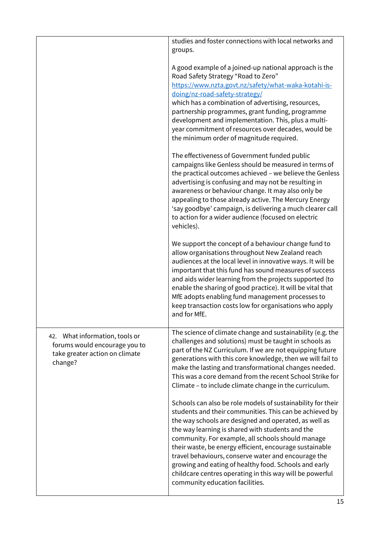|                                                                                                              | studies and foster connections with local networks and<br>groups.                                                                                                                                                                                                                                                                                                                                                                                                                                                                                                  |
|--------------------------------------------------------------------------------------------------------------|--------------------------------------------------------------------------------------------------------------------------------------------------------------------------------------------------------------------------------------------------------------------------------------------------------------------------------------------------------------------------------------------------------------------------------------------------------------------------------------------------------------------------------------------------------------------|
|                                                                                                              | A good example of a joined-up national approach is the<br>Road Safety Strategy "Road to Zero"<br>https://www.nzta.govt.nz/safety/what-waka-kotahi-is-<br>doing/nz-road-safety-strategy/<br>which has a combination of advertising, resources,<br>partnership programmes, grant funding, programme<br>development and implementation. This, plus a multi-<br>year commitment of resources over decades, would be<br>the minimum order of magnitude required.                                                                                                        |
|                                                                                                              | The effectiveness of Government funded public<br>campaigns like Genless should be measured in terms of<br>the practical outcomes achieved - we believe the Genless<br>advertising is confusing and may not be resulting in<br>awareness or behaviour change. It may also only be<br>appealing to those already active. The Mercury Energy<br>'say goodbye' campaign, is delivering a much clearer call<br>to action for a wider audience (focused on electric<br>vehicles).                                                                                        |
|                                                                                                              | We support the concept of a behaviour change fund to<br>allow organisations throughout New Zealand reach<br>audiences at the local level in innovative ways. It will be<br>important that this fund has sound measures of success<br>and aids wider learning from the projects supported (to<br>enable the sharing of good practice). It will be vital that<br>MfE adopts enabling fund management processes to<br>keep transaction costs low for organisations who apply<br>and for MfE.                                                                          |
| 42. What information, tools or<br>forums would encourage you to<br>take greater action on climate<br>change? | The science of climate change and sustainability (e.g. the<br>challenges and solutions) must be taught in schools as<br>part of the NZ Curriculum. If we are not equipping future<br>generations with this core knowledge, then we will fail to<br>make the lasting and transformational changes needed.<br>This was a core demand from the recent School Strike for<br>Climate - to include climate change in the curriculum.                                                                                                                                     |
|                                                                                                              | Schools can also be role models of sustainability for their<br>students and their communities. This can be achieved by<br>the way schools are designed and operated, as well as<br>the way learning is shared with students and the<br>community. For example, all schools should manage<br>their waste, be energy efficient, encourage sustainable<br>travel behaviours, conserve water and encourage the<br>growing and eating of healthy food. Schools and early<br>childcare centres operating in this way will be powerful<br>community education facilities. |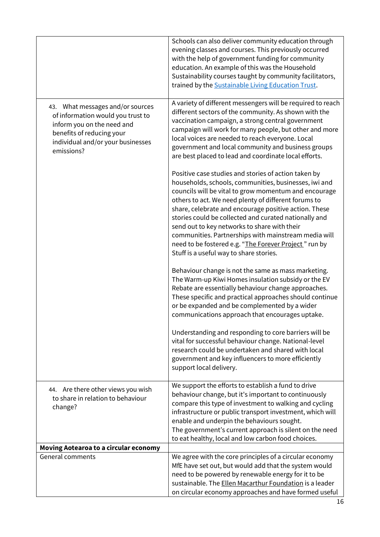|                                                                                                                                                                                     | Schools can also deliver community education through<br>evening classes and courses. This previously occurred<br>with the help of government funding for community<br>education. An example of this was the Household<br>Sustainability courses taught by community facilitators,<br>trained by the Sustainable Living Education Trust.                                                                                                                                                                                                                      |
|-------------------------------------------------------------------------------------------------------------------------------------------------------------------------------------|--------------------------------------------------------------------------------------------------------------------------------------------------------------------------------------------------------------------------------------------------------------------------------------------------------------------------------------------------------------------------------------------------------------------------------------------------------------------------------------------------------------------------------------------------------------|
| 43. What messages and/or sources<br>of information would you trust to<br>inform you on the need and<br>benefits of reducing your<br>individual and/or your businesses<br>emissions? | A variety of different messengers will be required to reach<br>different sectors of the community. As shown with the<br>vaccination campaign, a strong central government<br>campaign will work for many people, but other and more<br>local voices are needed to reach everyone. Local<br>government and local community and business groups<br>are best placed to lead and coordinate local efforts.                                                                                                                                                       |
|                                                                                                                                                                                     | Positive case studies and stories of action taken by<br>households, schools, communities, businesses, iwi and<br>councils will be vital to grow momentum and encourage<br>others to act. We need plenty of different forums to<br>share, celebrate and encourage positive action. These<br>stories could be collected and curated nationally and<br>send out to key networks to share with their<br>communities. Partnerships with mainstream media will<br>need to be fostered e.g. "The Forever Project" run by<br>Stuff is a useful way to share stories. |
|                                                                                                                                                                                     | Behaviour change is not the same as mass marketing.<br>The Warm-up Kiwi Homes insulation subsidy or the EV<br>Rebate are essentially behaviour change approaches.<br>These specific and practical approaches should continue<br>or be expanded and be complemented by a wider<br>communications approach that encourages uptake.                                                                                                                                                                                                                             |
|                                                                                                                                                                                     | Understanding and responding to core barriers will be<br>vital for successful behaviour change. National-level<br>research could be undertaken and shared with local<br>government and key influencers to more efficiently<br>support local delivery.                                                                                                                                                                                                                                                                                                        |
| 44. Are there other views you wish<br>to share in relation to behaviour<br>change?                                                                                                  | We support the efforts to establish a fund to drive<br>behaviour change, but it's important to continuously<br>compare this type of investment to walking and cycling<br>infrastructure or public transport investment, which will<br>enable and underpin the behaviours sought.<br>The government's current approach is silent on the need<br>to eat healthy, local and low carbon food choices.                                                                                                                                                            |
| Moving Aotearoa to a circular economy                                                                                                                                               |                                                                                                                                                                                                                                                                                                                                                                                                                                                                                                                                                              |
| <b>General comments</b>                                                                                                                                                             | We agree with the core principles of a circular economy<br>MfE have set out, but would add that the system would<br>need to be powered by renewable energy for it to be<br>sustainable. The Ellen Macarthur Foundation is a leader<br>on circular economy approaches and have formed useful                                                                                                                                                                                                                                                                  |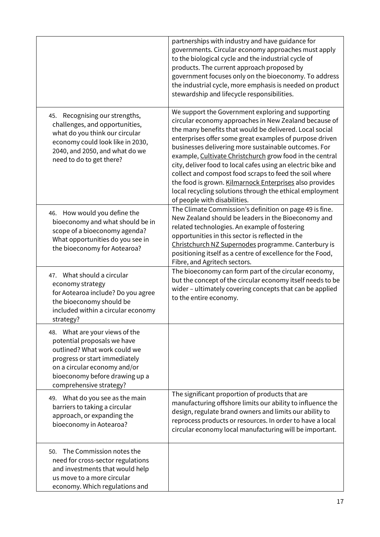|                                                                                                                                                                                                                             | partnerships with industry and have guidance for<br>governments. Circular economy approaches must apply<br>to the biological cycle and the industrial cycle of<br>products. The current approach proposed by<br>government focuses only on the bioeconomy. To address<br>the industrial cycle, more emphasis is needed on product<br>stewardship and lifecycle responsibilities.                                                                                                                                                                                                                                                       |
|-----------------------------------------------------------------------------------------------------------------------------------------------------------------------------------------------------------------------------|----------------------------------------------------------------------------------------------------------------------------------------------------------------------------------------------------------------------------------------------------------------------------------------------------------------------------------------------------------------------------------------------------------------------------------------------------------------------------------------------------------------------------------------------------------------------------------------------------------------------------------------|
| Recognising our strengths,<br>45.<br>challenges, and opportunities,<br>what do you think our circular<br>economy could look like in 2030,<br>2040, and 2050, and what do we<br>need to do to get there?                     | We support the Government exploring and supporting<br>circular economy approaches in New Zealand because of<br>the many benefits that would be delivered. Local social<br>enterprises offer some great examples of purpose driven<br>businesses delivering more sustainable outcomes. For<br>example, Cultivate Christchurch grow food in the central<br>city, deliver food to local cafes using an electric bike and<br>collect and compost food scraps to feed the soil where<br>the food is grown. Kilmarnock Enterprises also provides<br>local recycling solutions through the ethical employment<br>of people with disabilities. |
| 46. How would you define the<br>bioeconomy and what should be in<br>scope of a bioeconomy agenda?<br>What opportunities do you see in<br>the bioeconomy for Aotearoa?                                                       | The Climate Commission's definition on page 49 is fine.<br>New Zealand should be leaders in the Bioeconomy and<br>related technologies. An example of fostering<br>opportunities in this sector is reflected in the<br>Christchurch NZ Supernodes programme. Canterbury is<br>positioning itself as a centre of excellence for the Food,<br>Fibre, and Agritech sectors.                                                                                                                                                                                                                                                               |
| 47. What should a circular<br>economy strategy<br>for Aotearoa include? Do you agree<br>the bioeconomy should be<br>included within a circular economy<br>strategy?                                                         | The bioeconomy can form part of the circular economy,<br>but the concept of the circular economy itself needs to be<br>wider - ultimately covering concepts that can be applied<br>to the entire economy.                                                                                                                                                                                                                                                                                                                                                                                                                              |
| 48. What are your views of the<br>potential proposals we have<br>outlined? What work could we<br>progress or start immediately<br>on a circular economy and/or<br>bioeconomy before drawing up a<br>comprehensive strategy? |                                                                                                                                                                                                                                                                                                                                                                                                                                                                                                                                                                                                                                        |
| 49. What do you see as the main<br>barriers to taking a circular<br>approach, or expanding the<br>bioeconomy in Aotearoa?                                                                                                   | The significant proportion of products that are<br>manufacturing offshore limits our ability to influence the<br>design, regulate brand owners and limits our ability to<br>reprocess products or resources. In order to have a local<br>circular economy local manufacturing will be important.                                                                                                                                                                                                                                                                                                                                       |
| The Commission notes the<br>50.<br>need for cross-sector regulations<br>and investments that would help<br>us move to a more circular<br>economy. Which regulations and                                                     |                                                                                                                                                                                                                                                                                                                                                                                                                                                                                                                                                                                                                                        |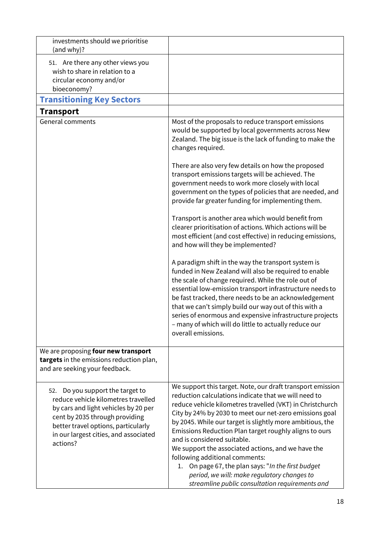| investments should we prioritise                                                                                                                                                                                                                 |                                                                                                                                                                                                                                                                                                                                                                                                                                                                                                                                                                                                                                                  |
|--------------------------------------------------------------------------------------------------------------------------------------------------------------------------------------------------------------------------------------------------|--------------------------------------------------------------------------------------------------------------------------------------------------------------------------------------------------------------------------------------------------------------------------------------------------------------------------------------------------------------------------------------------------------------------------------------------------------------------------------------------------------------------------------------------------------------------------------------------------------------------------------------------------|
| (and why)?                                                                                                                                                                                                                                       |                                                                                                                                                                                                                                                                                                                                                                                                                                                                                                                                                                                                                                                  |
| 51. Are there any other views you<br>wish to share in relation to a<br>circular economy and/or<br>bioeconomy?                                                                                                                                    |                                                                                                                                                                                                                                                                                                                                                                                                                                                                                                                                                                                                                                                  |
| <b>Transitioning Key Sectors</b>                                                                                                                                                                                                                 |                                                                                                                                                                                                                                                                                                                                                                                                                                                                                                                                                                                                                                                  |
| <b>Transport</b>                                                                                                                                                                                                                                 |                                                                                                                                                                                                                                                                                                                                                                                                                                                                                                                                                                                                                                                  |
| <b>General comments</b>                                                                                                                                                                                                                          | Most of the proposals to reduce transport emissions<br>would be supported by local governments across New<br>Zealand. The big issue is the lack of funding to make the<br>changes required.                                                                                                                                                                                                                                                                                                                                                                                                                                                      |
|                                                                                                                                                                                                                                                  | There are also very few details on how the proposed<br>transport emissions targets will be achieved. The<br>government needs to work more closely with local<br>government on the types of policies that are needed, and<br>provide far greater funding for implementing them.                                                                                                                                                                                                                                                                                                                                                                   |
|                                                                                                                                                                                                                                                  | Transport is another area which would benefit from<br>clearer prioritisation of actions. Which actions will be<br>most efficient (and cost effective) in reducing emissions,<br>and how will they be implemented?                                                                                                                                                                                                                                                                                                                                                                                                                                |
|                                                                                                                                                                                                                                                  | A paradigm shift in the way the transport system is<br>funded in New Zealand will also be required to enable<br>the scale of change required. While the role out of<br>essential low-emission transport infrastructure needs to<br>be fast tracked, there needs to be an acknowledgement<br>that we can't simply build our way out of this with a<br>series of enormous and expensive infrastructure projects<br>- many of which will do little to actually reduce our<br>overall emissions.                                                                                                                                                     |
| We are proposing four new transport<br>targets in the emissions reduction plan,<br>and are seeking your feedback.                                                                                                                                |                                                                                                                                                                                                                                                                                                                                                                                                                                                                                                                                                                                                                                                  |
| Do you support the target to<br>52.<br>reduce vehicle kilometres travelled<br>by cars and light vehicles by 20 per<br>cent by 2035 through providing<br>better travel options, particularly<br>in our largest cities, and associated<br>actions? | We support this target. Note, our draft transport emission<br>reduction calculations indicate that we will need to<br>reduce vehicle kilometres travelled (VKT) in Christchurch<br>City by 24% by 2030 to meet our net-zero emissions goal<br>by 2045. While our target is slightly more ambitious, the<br>Emissions Reduction Plan target roughly aligns to ours<br>and is considered suitable.<br>We support the associated actions, and we have the<br>following additional comments:<br>1. On page 67, the plan says: "In the first budget<br>period, we will: make regulatory changes to<br>streamline public consultation requirements and |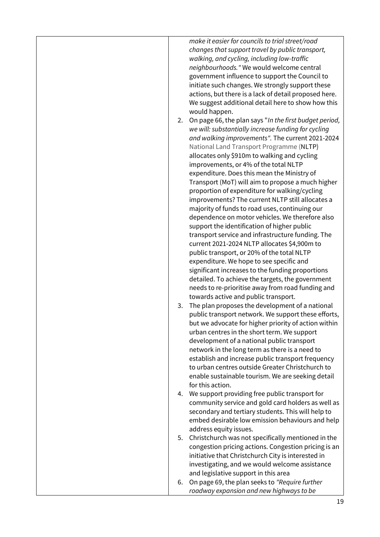*make it easier for councils to trial street/road changes that support travel by public transport, walking, and cycling, including low-traffic neighbourhoods."* We would welcome central government influence to support the Council to initiate such changes. We strongly support these actions, but there is a lack of detail proposed here. We suggest additional detail here to show how this would happen.

- 2. On page 66, the plan says "*In the first budget period, we will: substantially increase funding for cycling and walking improvements".* The current 2021-2024 National Land Transport Programme (NLTP) allocates only \$910m to walking and cycling improvements, or 4% of the total NLTP expenditure. Does this mean the Ministry of Transport (MoT) will aim to propose a much higher proportion of expenditure for walking/cycling improvements? The current NLTP still allocates a majority of funds to road uses, continuing our dependence on motor vehicles. We therefore also support the identification of higher public transport service and infrastructure funding. The current 2021-2024 NLTP allocates \$4,900m to public transport, or 20% of the total NLTP expenditure. We hope to see specific and significant increases to the funding proportions detailed. To achieve the targets, the government needs to re-prioritise away from road funding and towards active and public transport.
- 3. The plan proposes the development of a national public transport network. We support these efforts, but we advocate for higher priority of action within urban centres in the short term. We support development of a national public transport network in the long term as there is a need to establish and increase public transport frequency to urban centres outside Greater Christchurch to enable sustainable tourism. We are seeking detail for this action.
- 4. We support providing free public transport for community service and gold card holders as well as secondary and tertiary students. This will help to embed desirable low emission behaviours and help address equity issues.
- 5. Christchurch was not specifically mentioned in the congestion pricing actions. Congestion pricing is an initiative that Christchurch City is interested in investigating, and we would welcome assistance and legislative support in this area
- 6. On page 69, the plan seeks to *"Require further roadway expansion and new highways to be*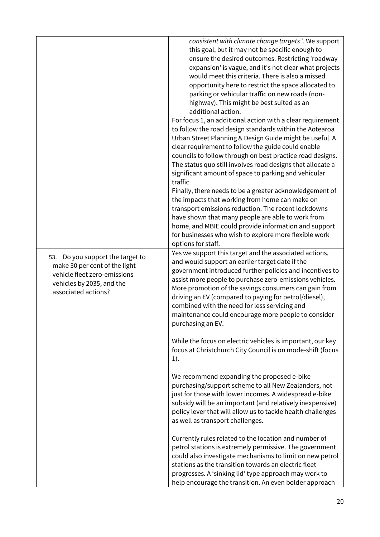|                                                                                                                                                          | consistent with climate change targets". We support<br>this goal, but it may not be specific enough to<br>ensure the desired outcomes. Restricting 'roadway<br>expansion' is vague, and it's not clear what projects<br>would meet this criteria. There is also a missed<br>opportunity here to restrict the space allocated to<br>parking or vehicular traffic on new roads (non-<br>highway). This might be best suited as an<br>additional action.<br>For focus 1, an additional action with a clear requirement<br>to follow the road design standards within the Aotearoa<br>Urban Street Planning & Design Guide might be useful. A<br>clear requirement to follow the guide could enable<br>councils to follow through on best practice road designs.<br>The status quo still involves road designs that allocate a<br>significant amount of space to parking and vehicular<br>traffic. |
|----------------------------------------------------------------------------------------------------------------------------------------------------------|------------------------------------------------------------------------------------------------------------------------------------------------------------------------------------------------------------------------------------------------------------------------------------------------------------------------------------------------------------------------------------------------------------------------------------------------------------------------------------------------------------------------------------------------------------------------------------------------------------------------------------------------------------------------------------------------------------------------------------------------------------------------------------------------------------------------------------------------------------------------------------------------|
|                                                                                                                                                          | Finally, there needs to be a greater acknowledgement of<br>the impacts that working from home can make on<br>transport emissions reduction. The recent lockdowns<br>have shown that many people are able to work from<br>home, and MBIE could provide information and support<br>for businesses who wish to explore more flexible work<br>options for staff.                                                                                                                                                                                                                                                                                                                                                                                                                                                                                                                                   |
| Do you support the target to<br>53.<br>make 30 per cent of the light<br>vehicle fleet zero-emissions<br>vehicles by 2035, and the<br>associated actions? | Yes we support this target and the associated actions,<br>and would support an earlier target date if the<br>government introduced further policies and incentives to<br>assist more people to purchase zero-emissions vehicles.<br>More promotion of the savings consumers can gain from<br>driving an EV (compared to paying for petrol/diesel),<br>combined with the need for less servicing and<br>maintenance could encourage more people to consider<br>purchasing an EV.                                                                                                                                                                                                                                                                                                                                                                                                                |
|                                                                                                                                                          | While the focus on electric vehicles is important, our key<br>focus at Christchurch City Council is on mode-shift (focus<br>1).                                                                                                                                                                                                                                                                                                                                                                                                                                                                                                                                                                                                                                                                                                                                                                |
|                                                                                                                                                          | We recommend expanding the proposed e-bike<br>purchasing/support scheme to all New Zealanders, not<br>just for those with lower incomes. A widespread e-bike<br>subsidy will be an important (and relatively inexpensive)<br>policy lever that will allow us to tackle health challenges<br>as well as transport challenges.                                                                                                                                                                                                                                                                                                                                                                                                                                                                                                                                                                   |
|                                                                                                                                                          | Currently rules related to the location and number of<br>petrol stations is extremely permissive. The government<br>could also investigate mechanisms to limit on new petrol<br>stations as the transition towards an electric fleet<br>progresses. A 'sinking lid' type approach may work to<br>help encourage the transition. An even bolder approach                                                                                                                                                                                                                                                                                                                                                                                                                                                                                                                                        |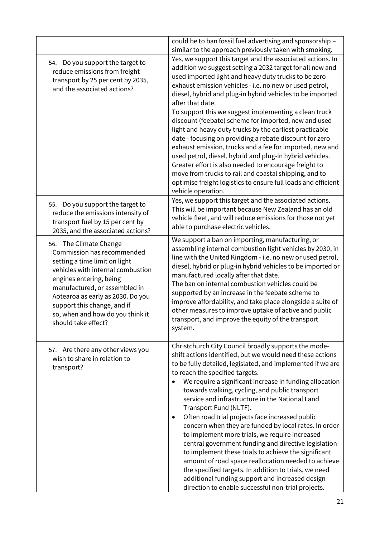|                                                                                                                                                                                                                                                                                                                       | could be to ban fossil fuel advertising and sponsorship -                                                                                                                                                                                                                                                                                                                                                                                                                                                                                                                                                                                                                                                                                                                                                                                                                                                                 |
|-----------------------------------------------------------------------------------------------------------------------------------------------------------------------------------------------------------------------------------------------------------------------------------------------------------------------|---------------------------------------------------------------------------------------------------------------------------------------------------------------------------------------------------------------------------------------------------------------------------------------------------------------------------------------------------------------------------------------------------------------------------------------------------------------------------------------------------------------------------------------------------------------------------------------------------------------------------------------------------------------------------------------------------------------------------------------------------------------------------------------------------------------------------------------------------------------------------------------------------------------------------|
|                                                                                                                                                                                                                                                                                                                       | similar to the approach previously taken with smoking.                                                                                                                                                                                                                                                                                                                                                                                                                                                                                                                                                                                                                                                                                                                                                                                                                                                                    |
| Do you support the target to<br>54.<br>reduce emissions from freight<br>transport by 25 per cent by 2035,<br>and the associated actions?                                                                                                                                                                              | Yes, we support this target and the associated actions. In<br>addition we suggest setting a 2032 target for all new and<br>used imported light and heavy duty trucks to be zero<br>exhaust emission vehicles - i.e. no new or used petrol,<br>diesel, hybrid and plug-in hybrid vehicles to be imported<br>after that date.<br>To support this we suggest implementing a clean truck<br>discount (feebate) scheme for imported, new and used<br>light and heavy duty trucks by the earliest practicable<br>date - focusing on providing a rebate discount for zero<br>exhaust emission, trucks and a fee for imported, new and<br>used petrol, diesel, hybrid and plug-in hybrid vehicles.<br>Greater effort is also needed to encourage freight to<br>move from trucks to rail and coastal shipping, and to<br>optimise freight logistics to ensure full loads and efficient<br>vehicle operation.                       |
| Do you support the target to<br>55.<br>reduce the emissions intensity of<br>transport fuel by 15 per cent by<br>2035, and the associated actions?                                                                                                                                                                     | Yes, we support this target and the associated actions.<br>This will be important because New Zealand has an old<br>vehicle fleet, and will reduce emissions for those not yet<br>able to purchase electric vehicles.                                                                                                                                                                                                                                                                                                                                                                                                                                                                                                                                                                                                                                                                                                     |
| 56. The Climate Change<br>Commission has recommended<br>setting a time limit on light<br>vehicles with internal combustion<br>engines entering, being<br>manufactured, or assembled in<br>Aotearoa as early as 2030. Do you<br>support this change, and if<br>so, when and how do you think it<br>should take effect? | We support a ban on importing, manufacturing, or<br>assembling internal combustion light vehicles by 2030, in<br>line with the United Kingdom - i.e. no new or used petrol,<br>diesel, hybrid or plug-in hybrid vehicles to be imported or<br>manufactured locally after that date.<br>The ban on internal combustion vehicles could be<br>supported by an increase in the feebate scheme to<br>improve affordability, and take place alongside a suite of<br>other measures to improve uptake of active and public<br>transport, and improve the equity of the transport<br>system.                                                                                                                                                                                                                                                                                                                                      |
| 57. Are there any other views you<br>wish to share in relation to<br>transport?                                                                                                                                                                                                                                       | Christchurch City Council broadly supports the mode-<br>shift actions identified, but we would need these actions<br>to be fully detailed, legislated, and implemented if we are<br>to reach the specified targets.<br>We require a significant increase in funding allocation<br>towards walking, cycling, and public transport<br>service and infrastructure in the National Land<br>Transport Fund (NLTF).<br>Often road trial projects face increased public<br>٠<br>concern when they are funded by local rates. In order<br>to implement more trials, we require increased<br>central government funding and directive legislation<br>to implement these trials to achieve the significant<br>amount of road space reallocation needed to achieve<br>the specified targets. In addition to trials, we need<br>additional funding support and increased design<br>direction to enable successful non-trial projects. |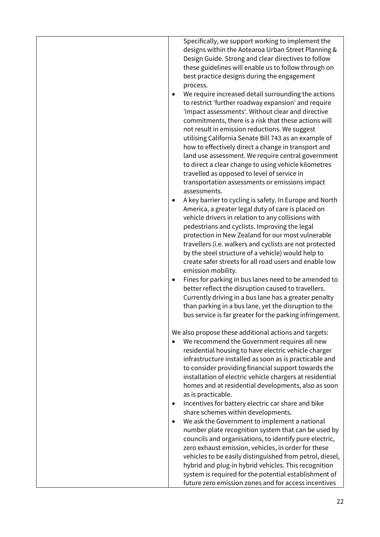| Specifically, we support working to implement the<br>designs within the Aotearoa Urban Street Planning &<br>Design Guide. Strong and clear directives to follow<br>these guidelines will enable us to follow through on<br>best practice designs during the engagement<br>process.<br>We require increased detail surrounding the actions<br>to restrict 'further roadway expansion' and require<br>'impact assessments'. Without clear and directive<br>commitments, there is a risk that these actions will<br>not result in emission reductions. We suggest<br>utilising California Senate Bill 743 as an example of<br>how to effectively direct a change in transport and<br>land use assessment. We require central government<br>to direct a clear change to using vehicle kilometres<br>travelled as opposed to level of service in<br>transportation assessments or emissions impact<br>assessments.<br>A key barrier to cycling is safety. In Europe and North<br>America, a greater legal duty of care is placed on<br>vehicle drivers in relation to any collisions with<br>pedestrians and cyclists. Improving the legal<br>protection in New Zealand for our most vulnerable<br>travellers (i.e. walkers and cyclists are not protected<br>by the steel structure of a vehicle) would help to<br>create safer streets for all road users and enable low<br>emission mobility.<br>Fines for parking in bus lanes need to be amended to<br>$\bullet$<br>better reflect the disruption caused to travellers.<br>Currently driving in a bus lane has a greater penalty<br>than parking in a bus lane, yet the disruption to the<br>bus service is far greater for the parking infringement. |
|-------------------------------------------------------------------------------------------------------------------------------------------------------------------------------------------------------------------------------------------------------------------------------------------------------------------------------------------------------------------------------------------------------------------------------------------------------------------------------------------------------------------------------------------------------------------------------------------------------------------------------------------------------------------------------------------------------------------------------------------------------------------------------------------------------------------------------------------------------------------------------------------------------------------------------------------------------------------------------------------------------------------------------------------------------------------------------------------------------------------------------------------------------------------------------------------------------------------------------------------------------------------------------------------------------------------------------------------------------------------------------------------------------------------------------------------------------------------------------------------------------------------------------------------------------------------------------------------------------------------------------------------------------------------------------------------------------|
| We also propose these additional actions and targets:<br>We recommend the Government requires all new<br>residential housing to have electric vehicle charger<br>infrastructure installed as soon as is practicable and<br>to consider providing financial support towards the<br>installation of electric vehicle chargers at residential<br>homes and at residential developments, also as soon<br>as is practicable.<br>Incentives for battery electric car share and bike<br>share schemes within developments.<br>We ask the Government to implement a national<br>number plate recognition system that can be used by<br>councils and organisations, to identify pure electric,<br>zero exhaust emission, vehicles, in order for these<br>vehicles to be easily distinguished from petrol, diesel,<br>hybrid and plug-in hybrid vehicles. This recognition<br>system is required for the potential establishment of<br>future zero emission zones and for access incentives                                                                                                                                                                                                                                                                                                                                                                                                                                                                                                                                                                                                                                                                                                                     |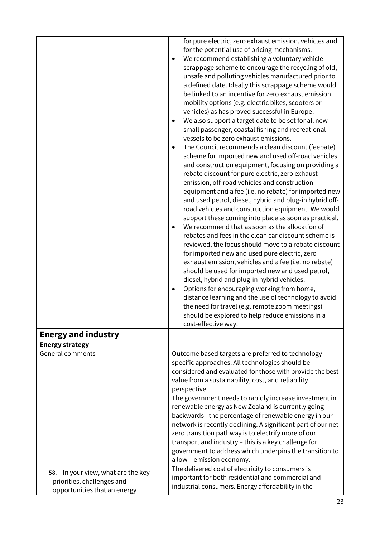|                                                                                                     | for pure electric, zero exhaust emission, vehicles and<br>for the potential use of pricing mechanisms.<br>We recommend establishing a voluntary vehicle<br>scrappage scheme to encourage the recycling of old,<br>unsafe and polluting vehicles manufactured prior to<br>a defined date. Ideally this scrappage scheme would<br>be linked to an incentive for zero exhaust emission<br>mobility options (e.g. electric bikes, scooters or<br>vehicles) as has proved successful in Europe.<br>We also support a target date to be set for all new<br>٠<br>small passenger, coastal fishing and recreational<br>vessels to be zero exhaust emissions.<br>The Council recommends a clean discount (feebate)<br>٠<br>scheme for imported new and used off-road vehicles<br>and construction equipment, focusing on providing a<br>rebate discount for pure electric, zero exhaust<br>emission, off-road vehicles and construction<br>equipment and a fee (i.e. no rebate) for imported new<br>and used petrol, diesel, hybrid and plug-in hybrid off-<br>road vehicles and construction equipment. We would<br>support these coming into place as soon as practical.<br>We recommend that as soon as the allocation of<br>rebates and fees in the clean car discount scheme is<br>reviewed, the focus should move to a rebate discount<br>for imported new and used pure electric, zero<br>exhaust emission, vehicles and a fee (i.e. no rebate)<br>should be used for imported new and used petrol,<br>diesel, hybrid and plug-in hybrid vehicles.<br>Options for encouraging working from home,<br>٠<br>distance learning and the use of technology to avoid<br>the need for travel (e.g. remote zoom meetings)<br>should be explored to help reduce emissions in a<br>cost-effective way. |
|-----------------------------------------------------------------------------------------------------|-------------------------------------------------------------------------------------------------------------------------------------------------------------------------------------------------------------------------------------------------------------------------------------------------------------------------------------------------------------------------------------------------------------------------------------------------------------------------------------------------------------------------------------------------------------------------------------------------------------------------------------------------------------------------------------------------------------------------------------------------------------------------------------------------------------------------------------------------------------------------------------------------------------------------------------------------------------------------------------------------------------------------------------------------------------------------------------------------------------------------------------------------------------------------------------------------------------------------------------------------------------------------------------------------------------------------------------------------------------------------------------------------------------------------------------------------------------------------------------------------------------------------------------------------------------------------------------------------------------------------------------------------------------------------------------------------------------------------------------------------------------------------------------------|
| <b>Energy and industry</b>                                                                          |                                                                                                                                                                                                                                                                                                                                                                                                                                                                                                                                                                                                                                                                                                                                                                                                                                                                                                                                                                                                                                                                                                                                                                                                                                                                                                                                                                                                                                                                                                                                                                                                                                                                                                                                                                                           |
| <b>Energy strategy</b>                                                                              |                                                                                                                                                                                                                                                                                                                                                                                                                                                                                                                                                                                                                                                                                                                                                                                                                                                                                                                                                                                                                                                                                                                                                                                                                                                                                                                                                                                                                                                                                                                                                                                                                                                                                                                                                                                           |
| <b>General comments</b>                                                                             | Outcome based targets are preferred to technology<br>specific approaches. All technologies should be<br>considered and evaluated for those with provide the best<br>value from a sustainability, cost, and reliability<br>perspective.<br>The government needs to rapidly increase investment in<br>renewable energy as New Zealand is currently going<br>backwards - the percentage of renewable energy in our<br>network is recently declining. A significant part of our net<br>zero transition pathway is to electrify more of our<br>transport and industry - this is a key challenge for<br>government to address which underpins the transition to<br>a low - emission economy.<br>The delivered cost of electricity to consumers is                                                                                                                                                                                                                                                                                                                                                                                                                                                                                                                                                                                                                                                                                                                                                                                                                                                                                                                                                                                                                                               |
| In your view, what are the key<br>58.<br>priorities, challenges and<br>opportunities that an energy | important for both residential and commercial and<br>industrial consumers. Energy affordability in the                                                                                                                                                                                                                                                                                                                                                                                                                                                                                                                                                                                                                                                                                                                                                                                                                                                                                                                                                                                                                                                                                                                                                                                                                                                                                                                                                                                                                                                                                                                                                                                                                                                                                    |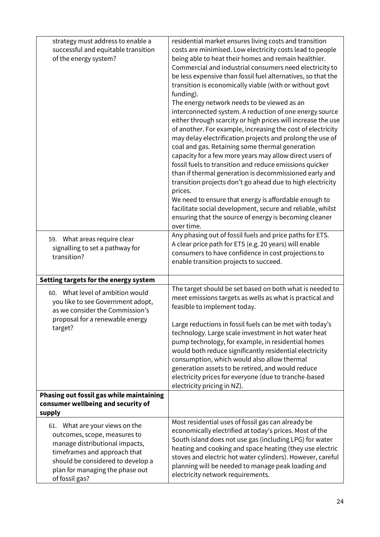| strategy must address to enable a<br>successful and equitable transition<br>of the energy system?                                                                                                                          | residential market ensures living costs and transition<br>costs are minimised. Low electricity costs lead to people<br>being able to heat their homes and remain healthier.<br>Commercial and industrial consumers need electricity to<br>be less expensive than fossil fuel alternatives, so that the<br>transition is economically viable (with or without govt<br>funding).<br>The energy network needs to be viewed as an<br>interconnected system. A reduction of one energy source<br>either through scarcity or high prices will increase the use<br>of another. For example, increasing the cost of electricity<br>may delay electrification projects and prolong the use of<br>coal and gas. Retaining some thermal generation |
|----------------------------------------------------------------------------------------------------------------------------------------------------------------------------------------------------------------------------|-----------------------------------------------------------------------------------------------------------------------------------------------------------------------------------------------------------------------------------------------------------------------------------------------------------------------------------------------------------------------------------------------------------------------------------------------------------------------------------------------------------------------------------------------------------------------------------------------------------------------------------------------------------------------------------------------------------------------------------------|
|                                                                                                                                                                                                                            | capacity for a few more years may allow direct users of<br>fossil fuels to transition and reduce emissions quicker<br>than if thermal generation is decommissioned early and<br>transition projects don't go ahead due to high electricity<br>prices.<br>We need to ensure that energy is affordable enough to<br>facilitate social development, secure and reliable, whilst<br>ensuring that the source of energy is becoming cleaner<br>over time.                                                                                                                                                                                                                                                                                    |
| 59. What areas require clear<br>signalling to set a pathway for<br>transition?                                                                                                                                             | Any phasing out of fossil fuels and price paths for ETS.<br>A clear price path for ETS (e.g. 20 years) will enable<br>consumers to have confidence in cost projections to<br>enable transition projects to succeed.                                                                                                                                                                                                                                                                                                                                                                                                                                                                                                                     |
| Setting targets for the energy system                                                                                                                                                                                      |                                                                                                                                                                                                                                                                                                                                                                                                                                                                                                                                                                                                                                                                                                                                         |
| 60. What level of ambition would<br>you like to see Government adopt,<br>as we consider the Commission's<br>proposal for a renewable energy<br>target?<br>Phasing out fossil gas while maintaining                         | The target should be set based on both what is needed to<br>meet emissions targets as wells as what is practical and<br>feasible to implement today.<br>Large reductions in fossil fuels can be met with today's<br>technology. Large scale investment in hot water heat<br>pump technology, for example, in residential homes<br>would both reduce significantly residential electricity<br>consumption, which would also allow thermal<br>generation assets to be retired, and would reduce<br>electricity prices for everyone (due to tranche-based<br>electricity pricing in NZ).                                                                                                                                                   |
| consumer wellbeing and security of<br>supply                                                                                                                                                                               |                                                                                                                                                                                                                                                                                                                                                                                                                                                                                                                                                                                                                                                                                                                                         |
| 61. What are your views on the<br>outcomes, scope, measures to<br>manage distributional impacts,<br>timeframes and approach that<br>should be considered to develop a<br>plan for managing the phase out<br>of fossil gas? | Most residential uses of fossil gas can already be<br>economically electrified at today's prices. Most of the<br>South island does not use gas (including LPG) for water<br>heating and cooking and space heating (they use electric<br>stoves and electric hot water cylinders). However, careful<br>planning will be needed to manage peak loading and<br>electricity network requirements.                                                                                                                                                                                                                                                                                                                                           |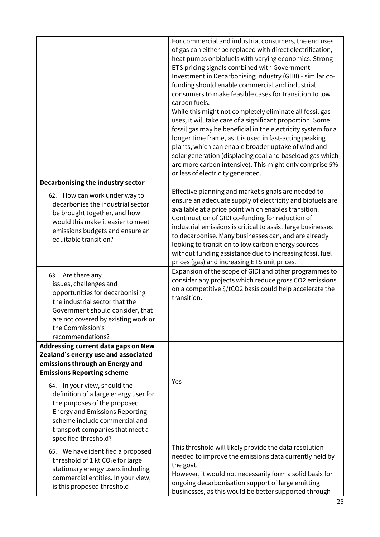|                                                                                                                                                                                                                                            | For commercial and industrial consumers, the end uses<br>of gas can either be replaced with direct electrification,<br>heat pumps or biofuels with varying economics. Strong<br>ETS pricing signals combined with Government<br>Investment in Decarbonising Industry (GIDI) - similar co-<br>funding should enable commercial and industrial<br>consumers to make feasible cases for transition to low<br>carbon fuels.<br>While this might not completely eliminate all fossil gas<br>uses, it will take care of a significant proportion. Some<br>fossil gas may be beneficial in the electricity system for a<br>longer time frame, as it is used in fast-acting peaking<br>plants, which can enable broader uptake of wind and<br>solar generation (displacing coal and baseload gas which<br>are more carbon intensive). This might only comprise 5%<br>or less of electricity generated. |
|--------------------------------------------------------------------------------------------------------------------------------------------------------------------------------------------------------------------------------------------|------------------------------------------------------------------------------------------------------------------------------------------------------------------------------------------------------------------------------------------------------------------------------------------------------------------------------------------------------------------------------------------------------------------------------------------------------------------------------------------------------------------------------------------------------------------------------------------------------------------------------------------------------------------------------------------------------------------------------------------------------------------------------------------------------------------------------------------------------------------------------------------------|
| Decarbonising the industry sector                                                                                                                                                                                                          |                                                                                                                                                                                                                                                                                                                                                                                                                                                                                                                                                                                                                                                                                                                                                                                                                                                                                                |
| 62. How can work under way to<br>decarbonise the industrial sector<br>be brought together, and how<br>would this make it easier to meet<br>emissions budgets and ensure an<br>equitable transition?                                        | Effective planning and market signals are needed to<br>ensure an adequate supply of electricity and biofuels are<br>available at a price point which enables transition.<br>Continuation of GIDI co-funding for reduction of<br>industrial emissions is critical to assist large businesses<br>to decarbonise. Many businesses can, and are already<br>looking to transition to low carbon energy sources<br>without funding assistance due to increasing fossil fuel<br>prices (gas) and increasing ETS unit prices.                                                                                                                                                                                                                                                                                                                                                                          |
| 63. Are there any<br>issues, challenges and<br>opportunities for decarbonising<br>the industrial sector that the<br>Government should consider, that<br>are not covered by existing work or<br>the Commission's<br>recommendations?        | Expansion of the scope of GIDI and other programmes to<br>consider any projects which reduce gross CO2 emissions<br>on a competitive \$/tCO2 basis could help accelerate the<br>transition.                                                                                                                                                                                                                                                                                                                                                                                                                                                                                                                                                                                                                                                                                                    |
| Addressing current data gaps on New                                                                                                                                                                                                        |                                                                                                                                                                                                                                                                                                                                                                                                                                                                                                                                                                                                                                                                                                                                                                                                                                                                                                |
| Zealand's energy use and associated                                                                                                                                                                                                        |                                                                                                                                                                                                                                                                                                                                                                                                                                                                                                                                                                                                                                                                                                                                                                                                                                                                                                |
| emissions through an Energy and                                                                                                                                                                                                            |                                                                                                                                                                                                                                                                                                                                                                                                                                                                                                                                                                                                                                                                                                                                                                                                                                                                                                |
| <b>Emissions Reporting scheme</b>                                                                                                                                                                                                          |                                                                                                                                                                                                                                                                                                                                                                                                                                                                                                                                                                                                                                                                                                                                                                                                                                                                                                |
| 64. In your view, should the<br>definition of a large energy user for<br>the purposes of the proposed<br><b>Energy and Emissions Reporting</b><br>scheme include commercial and<br>transport companies that meet a<br>specified threshold? | Yes                                                                                                                                                                                                                                                                                                                                                                                                                                                                                                                                                                                                                                                                                                                                                                                                                                                                                            |
| 65. We have identified a proposed<br>threshold of 1 kt CO <sub>2</sub> e for large<br>stationary energy users including<br>commercial entities. In your view,<br>is this proposed threshold                                                | This threshold will likely provide the data resolution<br>needed to improve the emissions data currently held by<br>the govt.<br>However, it would not necessarily form a solid basis for<br>ongoing decarbonisation support of large emitting<br>businesses, as this would be better supported through                                                                                                                                                                                                                                                                                                                                                                                                                                                                                                                                                                                        |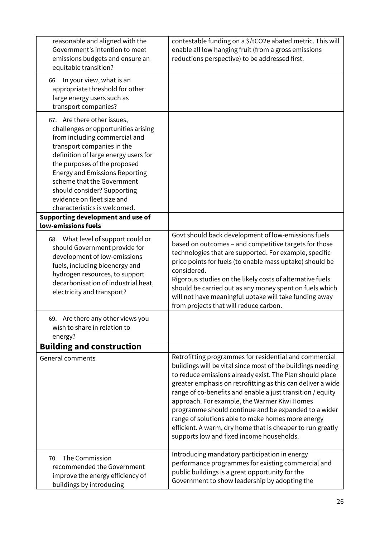| reasonable and aligned with the<br>Government's intention to meet<br>emissions budgets and ensure an<br>equitable transition?                                                                                                                                                                                                                                                                                                             | contestable funding on a \$/tCO2e abated metric. This will<br>enable all low hanging fruit (from a gross emissions<br>reductions perspective) to be addressed first.                                                                                                                                                                                                                                                                                                                                                                                                                   |
|-------------------------------------------------------------------------------------------------------------------------------------------------------------------------------------------------------------------------------------------------------------------------------------------------------------------------------------------------------------------------------------------------------------------------------------------|----------------------------------------------------------------------------------------------------------------------------------------------------------------------------------------------------------------------------------------------------------------------------------------------------------------------------------------------------------------------------------------------------------------------------------------------------------------------------------------------------------------------------------------------------------------------------------------|
| In your view, what is an<br>66.<br>appropriate threshold for other<br>large energy users such as<br>transport companies?                                                                                                                                                                                                                                                                                                                  |                                                                                                                                                                                                                                                                                                                                                                                                                                                                                                                                                                                        |
| 67. Are there other issues,<br>challenges or opportunities arising<br>from including commercial and<br>transport companies in the<br>definition of large energy users for<br>the purposes of the proposed<br><b>Energy and Emissions Reporting</b><br>scheme that the Government<br>should consider? Supporting<br>evidence on fleet size and<br>characteristics is welcomed.<br>Supporting development and use of<br>low-emissions fuels |                                                                                                                                                                                                                                                                                                                                                                                                                                                                                                                                                                                        |
| 68. What level of support could or<br>should Government provide for<br>development of low-emissions<br>fuels, including bioenergy and<br>hydrogen resources, to support<br>decarbonisation of industrial heat,<br>electricity and transport?                                                                                                                                                                                              | Govt should back development of low-emissions fuels<br>based on outcomes - and competitive targets for those<br>technologies that are supported. For example, specific<br>price points for fuels (to enable mass uptake) should be<br>considered.<br>Rigorous studies on the likely costs of alternative fuels<br>should be carried out as any money spent on fuels which<br>will not have meaningful uptake will take funding away<br>from projects that will reduce carbon.                                                                                                          |
| Are there any other views you<br>69.<br>wish to share in relation to<br>energy?                                                                                                                                                                                                                                                                                                                                                           |                                                                                                                                                                                                                                                                                                                                                                                                                                                                                                                                                                                        |
| <b>Building and construction</b>                                                                                                                                                                                                                                                                                                                                                                                                          |                                                                                                                                                                                                                                                                                                                                                                                                                                                                                                                                                                                        |
| <b>General comments</b>                                                                                                                                                                                                                                                                                                                                                                                                                   | Retrofitting programmes for residential and commercial<br>buildings will be vital since most of the buildings needing<br>to reduce emissions already exist. The Plan should place<br>greater emphasis on retrofitting as this can deliver a wide<br>range of co-benefits and enable a just transition / equity<br>approach. For example, the Warmer Kiwi Homes<br>programme should continue and be expanded to a wider<br>range of solutions able to make homes more energy<br>efficient. A warm, dry home that is cheaper to run greatly<br>supports low and fixed income households. |
| The Commission<br>70.<br>recommended the Government<br>improve the energy efficiency of<br>buildings by introducing                                                                                                                                                                                                                                                                                                                       | Introducing mandatory participation in energy<br>performance programmes for existing commercial and<br>public buildings is a great opportunity for the<br>Government to show leadership by adopting the                                                                                                                                                                                                                                                                                                                                                                                |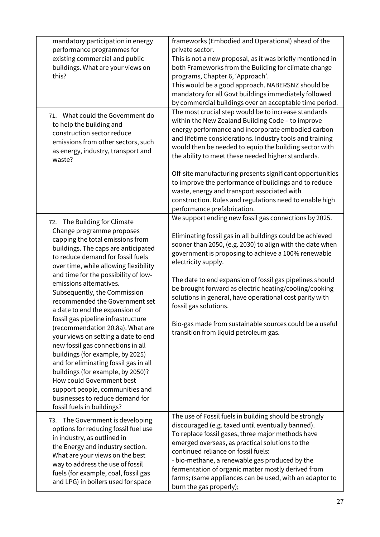| mandatory participation in energy<br>performance programmes for<br>existing commercial and public<br>buildings. What are your views on<br>this?                                                                                                                                                                                                                                                                                                                                                                                                                                                                                                                                                                                                                                                    | frameworks (Embodied and Operational) ahead of the<br>private sector.<br>This is not a new proposal, as it was briefly mentioned in<br>both Frameworks from the Building for climate change<br>programs, Chapter 6, 'Approach'.<br>This would be a good approach. NABERSNZ should be<br>mandatory for all Govt buildings immediately followed<br>by commercial buildings over an acceptable time period.                                                                                                                                                                                                   |
|----------------------------------------------------------------------------------------------------------------------------------------------------------------------------------------------------------------------------------------------------------------------------------------------------------------------------------------------------------------------------------------------------------------------------------------------------------------------------------------------------------------------------------------------------------------------------------------------------------------------------------------------------------------------------------------------------------------------------------------------------------------------------------------------------|------------------------------------------------------------------------------------------------------------------------------------------------------------------------------------------------------------------------------------------------------------------------------------------------------------------------------------------------------------------------------------------------------------------------------------------------------------------------------------------------------------------------------------------------------------------------------------------------------------|
| 71. What could the Government do<br>to help the building and<br>construction sector reduce<br>emissions from other sectors, such<br>as energy, industry, transport and<br>waste?                                                                                                                                                                                                                                                                                                                                                                                                                                                                                                                                                                                                                   | The most crucial step would be to increase standards<br>within the New Zealand Building Code - to improve<br>energy performance and incorporate embodied carbon<br>and lifetime considerations. Industry tools and training<br>would then be needed to equip the building sector with<br>the ability to meet these needed higher standards.<br>Off-site manufacturing presents significant opportunities<br>to improve the performance of buildings and to reduce<br>waste, energy and transport associated with<br>construction. Rules and regulations need to enable high<br>performance prefabrication. |
| 72. The Building for Climate<br>Change programme proposes<br>capping the total emissions from<br>buildings. The caps are anticipated<br>to reduce demand for fossil fuels<br>over time, while allowing flexibility<br>and time for the possibility of low-<br>emissions alternatives.<br>Subsequently, the Commission<br>recommended the Government set<br>a date to end the expansion of<br>fossil gas pipeline infrastructure<br>(recommendation 20.8a). What are<br>your views on setting a date to end<br>new fossil gas connections in all<br>buildings (for example, by 2025)<br>and for eliminating fossil gas in all<br>buildings (for example, by 2050)?<br>How could Government best<br>support people, communities and<br>businesses to reduce demand for<br>fossil fuels in buildings? | We support ending new fossil gas connections by 2025.<br>Eliminating fossil gas in all buildings could be achieved<br>sooner than 2050, (e.g. 2030) to align with the date when<br>government is proposing to achieve a 100% renewable<br>electricity supply.<br>The date to end expansion of fossil gas pipelines should<br>be brought forward as electric heating/cooling/cooking<br>solutions in general, have operational cost parity with<br>fossil gas solutions.<br>Bio-gas made from sustainable sources could be a useful<br>transition from liquid petroleum gas.                                |
| 73. The Government is developing<br>options for reducing fossil fuel use<br>in industry, as outlined in<br>the Energy and industry section.<br>What are your views on the best<br>way to address the use of fossil<br>fuels (for example, coal, fossil gas<br>and LPG) in boilers used for space                                                                                                                                                                                                                                                                                                                                                                                                                                                                                                   | The use of Fossil fuels in building should be strongly<br>discouraged (e.g. taxed until eventually banned).<br>To replace fossil gases, three major methods have<br>emerged overseas, as practical solutions to the<br>continued reliance on fossil fuels:<br>- bio-methane, a renewable gas produced by the<br>fermentation of organic matter mostly derived from<br>farms; (same appliances can be used, with an adaptor to<br>burn the gas properly);                                                                                                                                                   |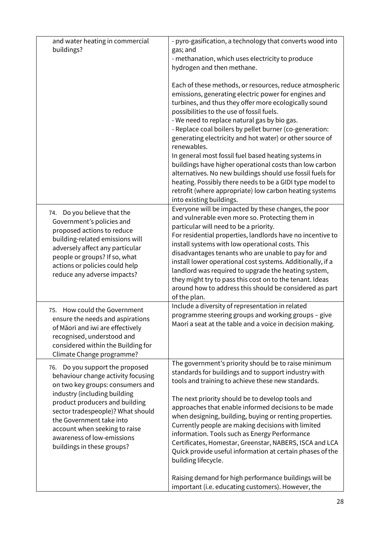| and water heating in commercial                                     | - pyro-gasification, a technology that converts wood into                                                                                                                                                             |
|---------------------------------------------------------------------|-----------------------------------------------------------------------------------------------------------------------------------------------------------------------------------------------------------------------|
| buildings?                                                          | gas; and                                                                                                                                                                                                              |
|                                                                     | - methanation, which uses electricity to produce                                                                                                                                                                      |
|                                                                     | hydrogen and then methane.                                                                                                                                                                                            |
|                                                                     | Each of these methods, or resources, reduce atmospheric<br>emissions, generating electric power for engines and<br>turbines, and thus they offer more ecologically sound<br>possibilities to the use of fossil fuels. |
|                                                                     | - We need to replace natural gas by bio gas.<br>- Replace coal boilers by pellet burner (co-generation:<br>generating electricity and hot water) or other source of                                                   |
|                                                                     | renewables.                                                                                                                                                                                                           |
|                                                                     | In general most fossil fuel based heating systems in                                                                                                                                                                  |
|                                                                     | buildings have higher operational costs than low carbon                                                                                                                                                               |
|                                                                     | alternatives. No new buildings should use fossil fuels for                                                                                                                                                            |
|                                                                     | heating. Possibly there needs to be a GIDI type model to                                                                                                                                                              |
|                                                                     | retrofit (where appropriate) low carbon heating systems<br>into existing buildings.                                                                                                                                   |
| Do you believe that the<br>74.<br>Government's policies and         | Everyone will be impacted by these changes, the poor<br>and vulnerable even more so. Protecting them in<br>particular will need to be a priority.                                                                     |
| proposed actions to reduce                                          | For residential properties, landlords have no incentive to                                                                                                                                                            |
| building-related emissions will<br>adversely affect any particular  | install systems with low operational costs. This                                                                                                                                                                      |
| people or groups? If so, what                                       | disadvantages tenants who are unable to pay for and                                                                                                                                                                   |
| actions or policies could help                                      | install lower operational cost systems. Additionally, if a                                                                                                                                                            |
| reduce any adverse impacts?                                         | landlord was required to upgrade the heating system,                                                                                                                                                                  |
|                                                                     | they might try to pass this cost on to the tenant. Ideas<br>around how to address this should be considered as part                                                                                                   |
|                                                                     | of the plan.                                                                                                                                                                                                          |
|                                                                     | Include a diversity of representation in related                                                                                                                                                                      |
| How could the Government<br>75.<br>ensure the needs and aspirations | programme steering groups and working groups - give                                                                                                                                                                   |
| of Māori and iwi are effectively                                    | Maori a seat at the table and a voice in decision making.                                                                                                                                                             |
| recognised, understood and                                          |                                                                                                                                                                                                                       |
| considered within the Building for                                  |                                                                                                                                                                                                                       |
| Climate Change programme?                                           |                                                                                                                                                                                                                       |
| Do you support the proposed<br>76.                                  | The government's priority should be to raise minimum                                                                                                                                                                  |
| behaviour change activity focusing                                  | standards for buildings and to support industry with<br>tools and training to achieve these new standards.                                                                                                            |
| on two key groups: consumers and                                    |                                                                                                                                                                                                                       |
| industry (including building                                        | The next priority should be to develop tools and                                                                                                                                                                      |
| product producers and building                                      | approaches that enable informed decisions to be made                                                                                                                                                                  |
| sector tradespeople)? What should<br>the Government take into       | when designing, building, buying or renting properties.                                                                                                                                                               |
| account when seeking to raise                                       | Currently people are making decisions with limited                                                                                                                                                                    |
| awareness of low-emissions                                          | information. Tools such as Energy Performance                                                                                                                                                                         |
| buildings in these groups?                                          | Certificates, Homestar, Greenstar, NABERS, ISCA and LCA                                                                                                                                                               |
|                                                                     | Quick provide useful information at certain phases of the<br>building lifecycle.                                                                                                                                      |
|                                                                     |                                                                                                                                                                                                                       |
|                                                                     | Raising demand for high performance buildings will be                                                                                                                                                                 |
|                                                                     | important (i.e. educating customers). However, the                                                                                                                                                                    |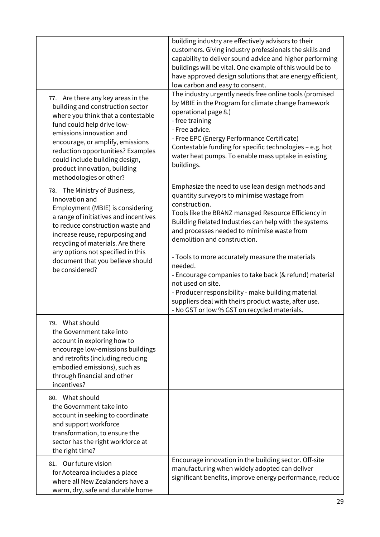| 77. Are there any key areas in the<br>building and construction sector<br>where you think that a contestable<br>fund could help drive low-<br>emissions innovation and<br>encourage, or amplify, emissions<br>reduction opportunities? Examples<br>could include building design,<br>product innovation, building<br>methodologies or other? | building industry are effectively advisors to their<br>customers. Giving industry professionals the skills and<br>capability to deliver sound advice and higher performing<br>buildings will be vital. One example of this would be to<br>have approved design solutions that are energy efficient,<br>low carbon and easy to consent.<br>The industry urgently needs free online tools (promised<br>by MBIE in the Program for climate change framework<br>operational page 8.)<br>- free training<br>- Free advice.<br>- Free EPC (Energy Performance Certificate)<br>Contestable funding for specific technologies - e.g. hot<br>water heat pumps. To enable mass uptake in existing<br>buildings. |
|----------------------------------------------------------------------------------------------------------------------------------------------------------------------------------------------------------------------------------------------------------------------------------------------------------------------------------------------|-------------------------------------------------------------------------------------------------------------------------------------------------------------------------------------------------------------------------------------------------------------------------------------------------------------------------------------------------------------------------------------------------------------------------------------------------------------------------------------------------------------------------------------------------------------------------------------------------------------------------------------------------------------------------------------------------------|
| 78. The Ministry of Business,<br>Innovation and<br>Employment (MBIE) is considering<br>a range of initiatives and incentives<br>to reduce construction waste and<br>increase reuse, repurposing and<br>recycling of materials. Are there<br>any options not specified in this<br>document that you believe should<br>be considered?          | Emphasize the need to use lean design methods and<br>quantity surveyors to minimise wastage from<br>construction.<br>Tools like the BRANZ managed Resource Efficiency in<br>Building Related Industries can help with the systems<br>and processes needed to minimise waste from<br>demolition and construction.<br>- Tools to more accurately measure the materials<br>needed.<br>- Encourage companies to take back (& refund) material<br>not used on site.<br>- Producer responsibility - make building material<br>suppliers deal with theirs product waste, after use.<br>- No GST or low % GST on recycled materials.                                                                          |
| 79. What should<br>the Government take into<br>account in exploring how to<br>encourage low-emissions buildings<br>and retrofits (including reducing<br>embodied emissions), such as<br>through financial and other<br>incentives?                                                                                                           |                                                                                                                                                                                                                                                                                                                                                                                                                                                                                                                                                                                                                                                                                                       |
| 80. What should<br>the Government take into<br>account in seeking to coordinate<br>and support workforce<br>transformation, to ensure the<br>sector has the right workforce at<br>the right time?                                                                                                                                            |                                                                                                                                                                                                                                                                                                                                                                                                                                                                                                                                                                                                                                                                                                       |
| 81. Our future vision<br>for Aotearoa includes a place<br>where all New Zealanders have a<br>warm, dry, safe and durable home                                                                                                                                                                                                                | Encourage innovation in the building sector. Off-site<br>manufacturing when widely adopted can deliver<br>significant benefits, improve energy performance, reduce                                                                                                                                                                                                                                                                                                                                                                                                                                                                                                                                    |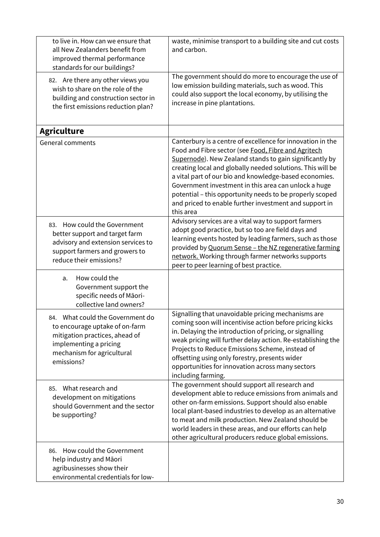| to live in. How can we ensure that<br>all New Zealanders benefit from<br>improved thermal performance<br>standards for our buildings?                                         | waste, minimise transport to a building site and cut costs<br>and carbon.                                                                                                                                                                                                                                                                                                                                                                                                                       |
|-------------------------------------------------------------------------------------------------------------------------------------------------------------------------------|-------------------------------------------------------------------------------------------------------------------------------------------------------------------------------------------------------------------------------------------------------------------------------------------------------------------------------------------------------------------------------------------------------------------------------------------------------------------------------------------------|
| 82. Are there any other views you<br>wish to share on the role of the<br>building and construction sector in<br>the first emissions reduction plan?                           | The government should do more to encourage the use of<br>low emission building materials, such as wood. This<br>could also support the local economy, by utilising the<br>increase in pine plantations.                                                                                                                                                                                                                                                                                         |
| <b>Agriculture</b>                                                                                                                                                            |                                                                                                                                                                                                                                                                                                                                                                                                                                                                                                 |
| <b>General comments</b>                                                                                                                                                       | Canterbury is a centre of excellence for innovation in the<br>Food and Fibre sector (see Food, Fibre and Agritech<br>Supernode). New Zealand stands to gain significantly by<br>creating local and globally needed solutions. This will be<br>a vital part of our bio and knowledge-based economies.<br>Government investment in this area can unlock a huge<br>potential - this opportunity needs to be properly scoped<br>and priced to enable further investment and support in<br>this area |
| 83. How could the Government<br>better support and target farm<br>advisory and extension services to<br>support farmers and growers to<br>reduce their emissions?             | Advisory services are a vital way to support farmers<br>adopt good practice, but so too are field days and<br>learning events hosted by leading farmers, such as those<br>provided by Quorum Sense - the NZ regenerative farming<br>network. Working through farmer networks supports<br>peer to peer learning of best practice.                                                                                                                                                                |
| How could the<br>a.<br>Government support the<br>specific needs of Māori-<br>collective land owners?                                                                          |                                                                                                                                                                                                                                                                                                                                                                                                                                                                                                 |
| What could the Government do<br>84.<br>to encourage uptake of on-farm<br>mitigation practices, ahead of<br>implementing a pricing<br>mechanism for agricultural<br>emissions? | Signalling that unavoidable pricing mechanisms are<br>coming soon will incentivise action before pricing kicks<br>in. Delaying the introduction of pricing, or signalling<br>weak pricing will further delay action. Re-establishing the<br>Projects to Reduce Emissions Scheme, instead of<br>offsetting using only forestry, presents wider<br>opportunities for innovation across many sectors<br>including farming.                                                                         |
| What research and<br>85.<br>development on mitigations<br>should Government and the sector<br>be supporting?                                                                  | The government should support all research and<br>development able to reduce emissions from animals and<br>other on-farm emissions. Support should also enable<br>local plant-based industries to develop as an alternative<br>to meat and milk production. New Zealand should be<br>world leaders in these areas, and our efforts can help<br>other agricultural producers reduce global emissions.                                                                                            |
| How could the Government<br>86.<br>help industry and Māori<br>agribusinesses show their<br>environmental credentials for low-                                                 |                                                                                                                                                                                                                                                                                                                                                                                                                                                                                                 |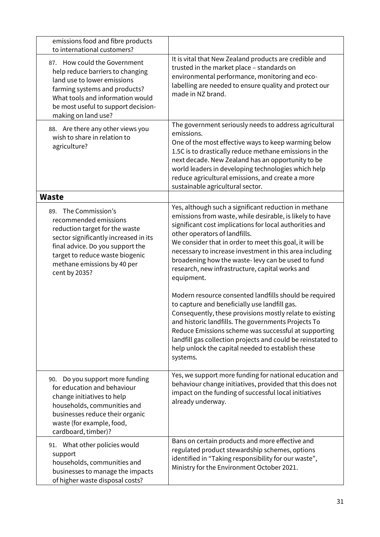| emissions food and fibre products<br>to international customers?                                                                                                                                                                                |                                                                                                                                                                                                                                                                                                                                                                                                                                                                                                                                                                                                                                                                                                                                                                                                                                                                     |
|-------------------------------------------------------------------------------------------------------------------------------------------------------------------------------------------------------------------------------------------------|---------------------------------------------------------------------------------------------------------------------------------------------------------------------------------------------------------------------------------------------------------------------------------------------------------------------------------------------------------------------------------------------------------------------------------------------------------------------------------------------------------------------------------------------------------------------------------------------------------------------------------------------------------------------------------------------------------------------------------------------------------------------------------------------------------------------------------------------------------------------|
| 87. How could the Government<br>help reduce barriers to changing<br>land use to lower emissions<br>farming systems and products?<br>What tools and information would<br>be most useful to support decision-<br>making on land use?              | It is vital that New Zealand products are credible and<br>trusted in the market place - standards on<br>environmental performance, monitoring and eco-<br>labelling are needed to ensure quality and protect our<br>made in NZ brand.                                                                                                                                                                                                                                                                                                                                                                                                                                                                                                                                                                                                                               |
| 88. Are there any other views you<br>wish to share in relation to<br>agriculture?                                                                                                                                                               | The government seriously needs to address agricultural<br>emissions.<br>One of the most effective ways to keep warming below<br>1.5C is to drastically reduce methane emissions in the<br>next decade. New Zealand has an opportunity to be<br>world leaders in developing technologies which help<br>reduce agricultural emissions, and create a more<br>sustainable agricultural sector.                                                                                                                                                                                                                                                                                                                                                                                                                                                                          |
| <b>Waste</b>                                                                                                                                                                                                                                    |                                                                                                                                                                                                                                                                                                                                                                                                                                                                                                                                                                                                                                                                                                                                                                                                                                                                     |
| 89. The Commission's<br>recommended emissions<br>reduction target for the waste<br>sector significantly increased in its<br>final advice. Do you support the<br>target to reduce waste biogenic<br>methane emissions by 40 per<br>cent by 2035? | Yes, although such a significant reduction in methane<br>emissions from waste, while desirable, is likely to have<br>significant cost implications for local authorities and<br>other operators of landfills.<br>We consider that in order to meet this goal, it will be<br>necessary to increase investment in this area including<br>broadening how the waste-levy can be used to fund<br>research, new infrastructure, capital works and<br>equipment.<br>Modern resource consented landfills should be required<br>to capture and beneficially use landfill gas.<br>Consequently, these provisions mostly relate to existing<br>and historic landfills. The governments Projects To<br>Reduce Emissions scheme was successful at supporting<br>landfill gas collection projects and could be reinstated to<br>help unlock the capital needed to establish these |
|                                                                                                                                                                                                                                                 | systems.                                                                                                                                                                                                                                                                                                                                                                                                                                                                                                                                                                                                                                                                                                                                                                                                                                                            |
| Do you support more funding<br>90.<br>for education and behaviour<br>change initiatives to help<br>households, communities and<br>businesses reduce their organic<br>waste (for example, food,<br>cardboard, timber)?                           | Yes, we support more funding for national education and<br>behaviour change initiatives, provided that this does not<br>impact on the funding of successful local initiatives<br>already underway.                                                                                                                                                                                                                                                                                                                                                                                                                                                                                                                                                                                                                                                                  |
| 91. What other policies would<br>support<br>households, communities and<br>businesses to manage the impacts<br>of higher waste disposal costs?                                                                                                  | Bans on certain products and more effective and<br>regulated product stewardship schemes, options<br>identified in "Taking responsibility for our waste",<br>Ministry for the Environment October 2021.                                                                                                                                                                                                                                                                                                                                                                                                                                                                                                                                                                                                                                                             |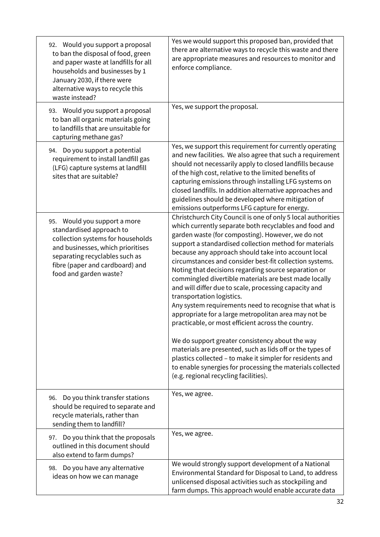| 92. Would you support a proposal<br>to ban the disposal of food, green<br>and paper waste at landfills for all<br>households and businesses by 1<br>January 2030, if there were<br>alternative ways to recycle this<br>waste instead? | Yes we would support this proposed ban, provided that<br>there are alternative ways to recycle this waste and there<br>are appropriate measures and resources to monitor and<br>enforce compliance.                                                                                                                                                                                                                                                                                                                                                                                                                                                                                                                                                                                                                                                                                                                                                                                                                        |
|---------------------------------------------------------------------------------------------------------------------------------------------------------------------------------------------------------------------------------------|----------------------------------------------------------------------------------------------------------------------------------------------------------------------------------------------------------------------------------------------------------------------------------------------------------------------------------------------------------------------------------------------------------------------------------------------------------------------------------------------------------------------------------------------------------------------------------------------------------------------------------------------------------------------------------------------------------------------------------------------------------------------------------------------------------------------------------------------------------------------------------------------------------------------------------------------------------------------------------------------------------------------------|
| 93. Would you support a proposal<br>to ban all organic materials going<br>to landfills that are unsuitable for<br>capturing methane gas?                                                                                              | Yes, we support the proposal.                                                                                                                                                                                                                                                                                                                                                                                                                                                                                                                                                                                                                                                                                                                                                                                                                                                                                                                                                                                              |
| 94. Do you support a potential<br>requirement to install landfill gas<br>(LFG) capture systems at landfill<br>sites that are suitable?                                                                                                | Yes, we support this requirement for currently operating<br>and new facilities. We also agree that such a requirement<br>should not necessarily apply to closed landfills because<br>of the high cost, relative to the limited benefits of<br>capturing emissions through installing LFG systems on<br>closed landfills. In addition alternative approaches and<br>guidelines should be developed where mitigation of<br>emissions outperforms LFG capture for energy.                                                                                                                                                                                                                                                                                                                                                                                                                                                                                                                                                     |
| 95. Would you support a more<br>standardised approach to<br>collection systems for households<br>and businesses, which prioritises<br>separating recyclables such as<br>fibre (paper and cardboard) and<br>food and garden waste?     | Christchurch City Council is one of only 5 local authorities<br>which currently separate both recyclables and food and<br>garden waste (for composting). However, we do not<br>support a standardised collection method for materials<br>because any approach should take into account local<br>circumstances and consider best-fit collection systems.<br>Noting that decisions regarding source separation or<br>commingled divertible materials are best made locally<br>and will differ due to scale, processing capacity and<br>transportation logistics.<br>Any system requirements need to recognise that what is<br>appropriate for a large metropolitan area may not be<br>practicable, or most efficient across the country.<br>We do support greater consistency about the way<br>materials are presented, such as lids off or the types of<br>plastics collected - to make it simpler for residents and<br>to enable synergies for processing the materials collected<br>(e.g. regional recycling facilities). |
| Do you think transfer stations<br>96.<br>should be required to separate and<br>recycle materials, rather than<br>sending them to landfill?                                                                                            | Yes, we agree.                                                                                                                                                                                                                                                                                                                                                                                                                                                                                                                                                                                                                                                                                                                                                                                                                                                                                                                                                                                                             |
| Do you think that the proposals<br>97.<br>outlined in this document should<br>also extend to farm dumps?                                                                                                                              | Yes, we agree.                                                                                                                                                                                                                                                                                                                                                                                                                                                                                                                                                                                                                                                                                                                                                                                                                                                                                                                                                                                                             |
| Do you have any alternative<br>98.<br>ideas on how we can manage                                                                                                                                                                      | We would strongly support development of a National<br>Environmental Standard for Disposal to Land, to address<br>unlicensed disposal activities such as stockpiling and<br>farm dumps. This approach would enable accurate data                                                                                                                                                                                                                                                                                                                                                                                                                                                                                                                                                                                                                                                                                                                                                                                           |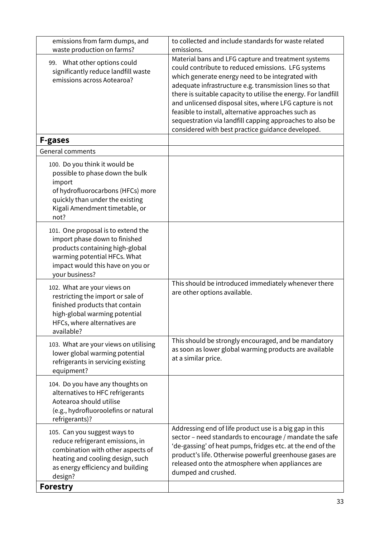| emissions from farm dumps, and                                                                                                                                                               | to collected and include standards for waste related                                                                                                                                                                                                                                                                                                                                                                                                                                                                                        |
|----------------------------------------------------------------------------------------------------------------------------------------------------------------------------------------------|---------------------------------------------------------------------------------------------------------------------------------------------------------------------------------------------------------------------------------------------------------------------------------------------------------------------------------------------------------------------------------------------------------------------------------------------------------------------------------------------------------------------------------------------|
| waste production on farms?<br>99. What other options could<br>significantly reduce landfill waste<br>emissions across Aotearoa?                                                              | emissions.<br>Material bans and LFG capture and treatment systems<br>could contribute to reduced emissions. LFG systems<br>which generate energy need to be integrated with<br>adequate infrastructure e.g. transmission lines so that<br>there is suitable capacity to utilise the energy. For landfill<br>and unlicensed disposal sites, where LFG capture is not<br>feasible to install, alternative approaches such as<br>sequestration via landfill capping approaches to also be<br>considered with best practice guidance developed. |
| <b>F-gases</b>                                                                                                                                                                               |                                                                                                                                                                                                                                                                                                                                                                                                                                                                                                                                             |
| General comments                                                                                                                                                                             |                                                                                                                                                                                                                                                                                                                                                                                                                                                                                                                                             |
| 100. Do you think it would be<br>possible to phase down the bulk<br>import<br>of hydrofluorocarbons (HFCs) more<br>quickly than under the existing<br>Kigali Amendment timetable, or<br>not? |                                                                                                                                                                                                                                                                                                                                                                                                                                                                                                                                             |
| 101. One proposal is to extend the<br>import phase down to finished<br>products containing high-global<br>warming potential HFCs. What<br>impact would this have on you or<br>your business? |                                                                                                                                                                                                                                                                                                                                                                                                                                                                                                                                             |
| 102. What are your views on<br>restricting the import or sale of<br>finished products that contain<br>high-global warming potential<br>HFCs, where alternatives are<br>available?            | This should be introduced immediately whenever there<br>are other options available.                                                                                                                                                                                                                                                                                                                                                                                                                                                        |
| 103. What are your views on utilising<br>lower global warming potential<br>refrigerants in servicing existing<br>equipment?                                                                  | This should be strongly encouraged, and be mandatory<br>as soon as lower global warming products are available<br>at a similar price.                                                                                                                                                                                                                                                                                                                                                                                                       |
| 104. Do you have any thoughts on<br>alternatives to HFC refrigerants<br>Aotearoa should utilise<br>(e.g., hydrofluoroolefins or natural<br>refrigerants)?                                    |                                                                                                                                                                                                                                                                                                                                                                                                                                                                                                                                             |
| 105. Can you suggest ways to<br>reduce refrigerant emissions, in<br>combination with other aspects of<br>heating and cooling design, such<br>as energy efficiency and building<br>design?    | Addressing end of life product use is a big gap in this<br>sector - need standards to encourage / mandate the safe<br>'de-gassing' of heat pumps, fridges etc. at the end of the<br>product's life. Otherwise powerful greenhouse gases are<br>released onto the atmosphere when appliances are<br>dumped and crushed.                                                                                                                                                                                                                      |
| <b>Forestry</b>                                                                                                                                                                              |                                                                                                                                                                                                                                                                                                                                                                                                                                                                                                                                             |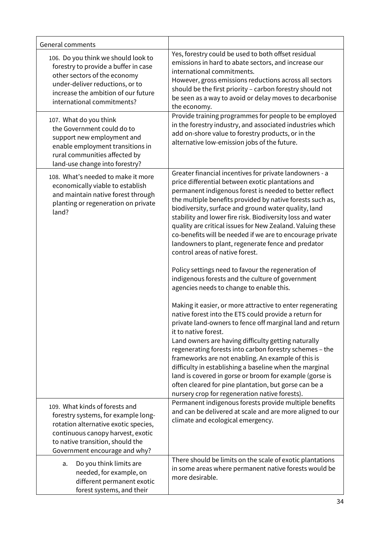| General comments                                                                                                                                                                                                        |                                                                                                                                                                                                                                                                                                                                                                                                                                                                                                                                                                                                                                                                                                                                                                                                                                                                                                                                                                                                                                                                                                                                                                                                                                                                                                                                                           |
|-------------------------------------------------------------------------------------------------------------------------------------------------------------------------------------------------------------------------|-----------------------------------------------------------------------------------------------------------------------------------------------------------------------------------------------------------------------------------------------------------------------------------------------------------------------------------------------------------------------------------------------------------------------------------------------------------------------------------------------------------------------------------------------------------------------------------------------------------------------------------------------------------------------------------------------------------------------------------------------------------------------------------------------------------------------------------------------------------------------------------------------------------------------------------------------------------------------------------------------------------------------------------------------------------------------------------------------------------------------------------------------------------------------------------------------------------------------------------------------------------------------------------------------------------------------------------------------------------|
| 106. Do you think we should look to<br>forestry to provide a buffer in case<br>other sectors of the economy<br>under-deliver reductions, or to<br>increase the ambition of our future<br>international commitments?     | Yes, forestry could be used to both offset residual<br>emissions in hard to abate sectors, and increase our<br>international commitments.<br>However, gross emissions reductions across all sectors<br>should be the first priority - carbon forestry should not<br>be seen as a way to avoid or delay moves to decarbonise<br>the economy.                                                                                                                                                                                                                                                                                                                                                                                                                                                                                                                                                                                                                                                                                                                                                                                                                                                                                                                                                                                                               |
| 107. What do you think<br>the Government could do to<br>support new employment and<br>enable employment transitions in<br>rural communities affected by<br>land-use change into forestry?                               | Provide training programmes for people to be employed<br>in the forestry industry, and associated industries which<br>add on-shore value to forestry products, or in the<br>alternative low-emission jobs of the future.                                                                                                                                                                                                                                                                                                                                                                                                                                                                                                                                                                                                                                                                                                                                                                                                                                                                                                                                                                                                                                                                                                                                  |
| 108. What's needed to make it more<br>economically viable to establish<br>and maintain native forest through<br>planting or regeneration on private<br>land?                                                            | Greater financial incentives for private landowners - a<br>price differential between exotic plantations and<br>permanent indigenous forest is needed to better reflect<br>the multiple benefits provided by native forests such as,<br>biodiversity, surface and ground water quality, land<br>stability and lower fire risk. Biodiversity loss and water<br>quality are critical issues for New Zealand. Valuing these<br>co-benefits will be needed if we are to encourage private<br>landowners to plant, regenerate fence and predator<br>control areas of native forest.<br>Policy settings need to favour the regeneration of<br>indigenous forests and the culture of government<br>agencies needs to change to enable this.<br>Making it easier, or more attractive to enter regenerating<br>native forest into the ETS could provide a return for<br>private land-owners to fence off marginal land and return<br>it to native forest.<br>Land owners are having difficulty getting naturally<br>regenerating forests into carbon forestry schemes - the<br>frameworks are not enabling. An example of this is<br>difficulty in establishing a baseline when the marginal<br>land is covered in gorse or broom for example (gorse is<br>often cleared for pine plantation, but gorse can be a<br>nursery crop for regeneration native forests). |
| 109. What kinds of forests and<br>forestry systems, for example long-<br>rotation alternative exotic species,<br>continuous canopy harvest, exotic<br>to native transition, should the<br>Government encourage and why? | Permanent indigenous forests provide multiple benefits<br>and can be delivered at scale and are more aligned to our<br>climate and ecological emergency.                                                                                                                                                                                                                                                                                                                                                                                                                                                                                                                                                                                                                                                                                                                                                                                                                                                                                                                                                                                                                                                                                                                                                                                                  |
| Do you think limits are<br>a.<br>needed, for example, on<br>different permanent exotic<br>forest systems, and their                                                                                                     | There should be limits on the scale of exotic plantations<br>in some areas where permanent native forests would be<br>more desirable.                                                                                                                                                                                                                                                                                                                                                                                                                                                                                                                                                                                                                                                                                                                                                                                                                                                                                                                                                                                                                                                                                                                                                                                                                     |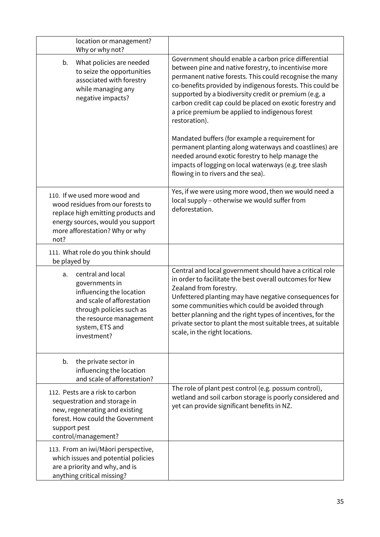| location or management?<br>Why or why not?                                                                                                                                                   |                                                                                                                                                                                                                                                                                                                                                                                                                                                                                                                                                                                                                                                                                                 |
|----------------------------------------------------------------------------------------------------------------------------------------------------------------------------------------------|-------------------------------------------------------------------------------------------------------------------------------------------------------------------------------------------------------------------------------------------------------------------------------------------------------------------------------------------------------------------------------------------------------------------------------------------------------------------------------------------------------------------------------------------------------------------------------------------------------------------------------------------------------------------------------------------------|
| b.<br>What policies are needed<br>to seize the opportunities<br>associated with forestry<br>while managing any<br>negative impacts?                                                          | Government should enable a carbon price differential<br>between pine and native forestry, to incentivise more<br>permanent native forests. This could recognise the many<br>co-benefits provided by indigenous forests. This could be<br>supported by a biodiversity credit or premium (e.g. a<br>carbon credit cap could be placed on exotic forestry and<br>a price premium be applied to indigenous forest<br>restoration).<br>Mandated buffers (for example a requirement for<br>permanent planting along waterways and coastlines) are<br>needed around exotic forestry to help manage the<br>impacts of logging on local waterways (e.g. tree slash<br>flowing in to rivers and the sea). |
| 110. If we used more wood and<br>wood residues from our forests to<br>replace high emitting products and<br>energy sources, would you support<br>more afforestation? Why or why<br>not?      | Yes, if we were using more wood, then we would need a<br>local supply - otherwise we would suffer from<br>deforestation.                                                                                                                                                                                                                                                                                                                                                                                                                                                                                                                                                                        |
| 111. What role do you think should<br>be played by                                                                                                                                           |                                                                                                                                                                                                                                                                                                                                                                                                                                                                                                                                                                                                                                                                                                 |
| central and local<br>a.<br>governments in<br>influencing the location<br>and scale of afforestation<br>through policies such as<br>the resource management<br>system, ETS and<br>investment? | Central and local government should have a critical role<br>in order to facilitate the best overall outcomes for New<br>Zealand from forestry.<br>Unfettered planting may have negative consequences for<br>some communities which could be avoided through<br>better planning and the right types of incentives, for the<br>private sector to plant the most suitable trees, at suitable<br>scale, in the right locations.                                                                                                                                                                                                                                                                     |
| the private sector in<br>b.<br>influencing the location<br>and scale of afforestation?                                                                                                       |                                                                                                                                                                                                                                                                                                                                                                                                                                                                                                                                                                                                                                                                                                 |
| 112. Pests are a risk to carbon<br>sequestration and storage in<br>new, regenerating and existing<br>forest. How could the Government<br>support pest<br>control/management?                 | The role of plant pest control (e.g. possum control),<br>wetland and soil carbon storage is poorly considered and<br>yet can provide significant benefits in NZ.                                                                                                                                                                                                                                                                                                                                                                                                                                                                                                                                |
| 113. From an iwi/Māori perspective,<br>which issues and potential policies<br>are a priority and why, and is<br>anything critical missing?                                                   |                                                                                                                                                                                                                                                                                                                                                                                                                                                                                                                                                                                                                                                                                                 |